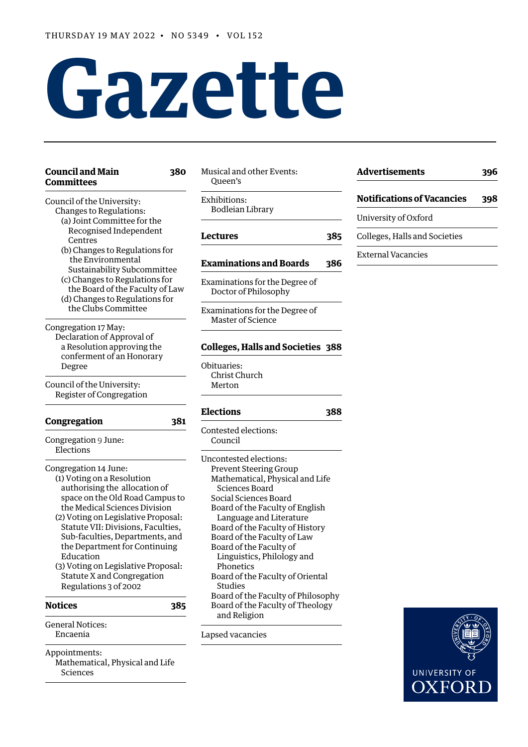# **Gazette**

| <b>Council and Main</b><br>380<br><b>Committees</b>                                                                                                                                                                                                                                                                                                                                                                  | Musical and other Events:<br>Queen's                                                                                                                                                                                                                                                                                                                                                                                             |     | <b>Advertisements</b>                                 |     |
|----------------------------------------------------------------------------------------------------------------------------------------------------------------------------------------------------------------------------------------------------------------------------------------------------------------------------------------------------------------------------------------------------------------------|----------------------------------------------------------------------------------------------------------------------------------------------------------------------------------------------------------------------------------------------------------------------------------------------------------------------------------------------------------------------------------------------------------------------------------|-----|-------------------------------------------------------|-----|
| Council of the University:<br>Changes to Regulations:                                                                                                                                                                                                                                                                                                                                                                | Exhibitions:<br><b>Bodleian Library</b>                                                                                                                                                                                                                                                                                                                                                                                          |     | <b>Notifications of Vacancies</b>                     | 398 |
| (a) Joint Committee for the<br>Recognised Independent<br>Centres<br>(b) Changes to Regulations for<br>the Environmental<br>Sustainability Subcommittee<br>(c) Changes to Regulations for<br>the Board of the Faculty of Law<br>(d) Changes to Regulations for<br>the Clubs Committee                                                                                                                                 | <b>Lectures</b>                                                                                                                                                                                                                                                                                                                                                                                                                  | 385 | University of Oxford<br>Colleges, Halls and Societies |     |
|                                                                                                                                                                                                                                                                                                                                                                                                                      | <b>Examinations and Boards</b>                                                                                                                                                                                                                                                                                                                                                                                                   | 386 | <b>External Vacancies</b>                             |     |
|                                                                                                                                                                                                                                                                                                                                                                                                                      | Examinations for the Degree of<br>Doctor of Philosophy                                                                                                                                                                                                                                                                                                                                                                           |     |                                                       |     |
|                                                                                                                                                                                                                                                                                                                                                                                                                      | Examinations for the Degree of<br>Master of Science                                                                                                                                                                                                                                                                                                                                                                              |     |                                                       |     |
| Congregation 17 May:<br>Declaration of Approval of<br>a Resolution approving the<br>conferment of an Honorary                                                                                                                                                                                                                                                                                                        | <b>Colleges, Halls and Societies 388</b>                                                                                                                                                                                                                                                                                                                                                                                         |     |                                                       |     |
| Degree<br>Council of the University:                                                                                                                                                                                                                                                                                                                                                                                 | Obituaries:<br>Christ Church<br>Merton                                                                                                                                                                                                                                                                                                                                                                                           |     |                                                       |     |
| Register of Congregation                                                                                                                                                                                                                                                                                                                                                                                             | <b>Elections</b>                                                                                                                                                                                                                                                                                                                                                                                                                 | 388 |                                                       |     |
| Congregation<br>381                                                                                                                                                                                                                                                                                                                                                                                                  | Contested elections:                                                                                                                                                                                                                                                                                                                                                                                                             |     |                                                       |     |
| Congregation 9 June:<br>Elections                                                                                                                                                                                                                                                                                                                                                                                    | Council                                                                                                                                                                                                                                                                                                                                                                                                                          |     |                                                       |     |
| Congregation 14 June:<br>(1) Voting on a Resolution<br>authorising the allocation of<br>space on the Old Road Campus to<br>the Medical Sciences Division<br>(2) Voting on Legislative Proposal:<br>Statute VII: Divisions, Faculties,<br>Sub-faculties, Departments, and<br>the Department for Continuing<br>Education<br>(3) Voting on Legislative Proposal:<br>Statute X and Congregation<br>Regulations 3 of 2002 | Uncontested elections:<br><b>Prevent Steering Group</b><br>Mathematical, Physical and Life<br>Sciences Board<br>Social Sciences Board<br>Board of the Faculty of English<br>Language and Literature<br>Board of the Faculty of History<br>Board of the Faculty of Law<br>Board of the Faculty of<br>Linguistics, Philology and<br>Phonetics<br>Board of the Faculty of Oriental<br>Studies<br>Board of the Faculty of Philosophy |     |                                                       |     |
| <b>Notices</b><br>385                                                                                                                                                                                                                                                                                                                                                                                                | Board of the Faculty of Theology<br>and Religion                                                                                                                                                                                                                                                                                                                                                                                 |     |                                                       |     |
| <b>General Notices:</b><br>Encaenia                                                                                                                                                                                                                                                                                                                                                                                  | Lapsed vacancies                                                                                                                                                                                                                                                                                                                                                                                                                 |     |                                                       |     |
| Appointments:<br>Mathematical, Physical and Life<br>Sciences                                                                                                                                                                                                                                                                                                                                                         |                                                                                                                                                                                                                                                                                                                                                                                                                                  |     | <b>UNIVERSITY OF</b>                                  |     |
|                                                                                                                                                                                                                                                                                                                                                                                                                      |                                                                                                                                                                                                                                                                                                                                                                                                                                  |     | OXFOR                                                 |     |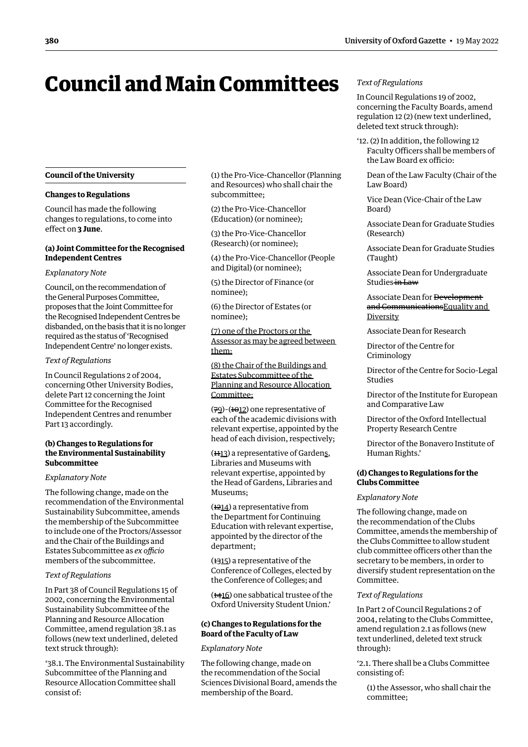# <span id="page-1-0"></span>Council and Main Committees

# **Council of the University**

#### **Changes to Regulations**

Council has made the following changes to regulations, to come into effect on **3 June**.

# **(a) Joint Committee for the Recognised Independent Centres**

#### *Explanatory Note*

Council, on the recommendation of the General Purposes Committee, proposes that the Joint Committee for the Recognised Independent Centres be disbanded, on the basis that it is no longer required as the status of 'Recognised Independent Centre' no longer exists.

#### *Text of Regulations*

In Council Regulations 2 of 2004, concerning Other University Bodies, delete Part 12 concerning the Joint Committee for the Recognised Independent Centres and renumber Part 13 accordingly.

# **(b) Changes to Regulations for the Environmental Sustainability Subcommittee**

#### *Explanatory Note*

The following change, made on the recommendation of the Environmental Sustainability Subcommittee, amends the membership of the Subcommittee to include one of the Proctors/Assessor and the Chair of the Buildings and Estates Subcommittee as *ex officio* members of the subcommittee.

#### *Text of Regulations*

In Part 38 of Council Regulations 15 of 2002, concerning the Environmental Sustainability Subcommittee of the Planning and Resource Allocation Committee, amend regulation 38.1 as follows (new text underlined, deleted text struck through):

'38.1. The Environmental Sustainability Subcommittee of the Planning and Resource Allocation Committee shall consist of:

(1) the Pro-Vice-Chancellor (Planning and Resources) who shall chair the subcommittee;

(2) the Pro-Vice-Chancellor (Education) (or nominee);

(3) the Pro-Vice-Chancellor (Research) (or nominee);

(4) the Pro-Vice-Chancellor (People and Digital) (or nominee);

(5) the Director of Finance (or nominee);

(6) the Director of Estates (or nominee);

(7) one of the Proctors or the Assessor as may be agreed between them;

(8) the Chair of the Buildings and Estates Subcommittee of the Planning and Resource Allocation Committee;

(79)-(1012) one representative of each of the academic divisions with relevant expertise, appointed by the head of each division, respectively;

(1113) a representative of Gardens, Libraries and Museums with relevant expertise, appointed by the Head of Gardens, Libraries and Museums;

 $(1214)$  a representative from the Department for Continuing Education with relevant expertise, appointed by the director of the department;

 $(1315)$  a representative of the Conference of Colleges, elected by the Conference of Colleges; and

(1416) one sabbatical trustee of the Oxford University Student Union.'

# **(c) Changes to Regulations for the Board of the Faculty of Law**

#### *Explanatory Note*

The following change, made on the recommendation of the Social Sciences Divisional Board, amends the membership of the Board.

# *Text of Regulations*

In Council Regulations 19 of 2002, concerning the Faculty Boards, amend regulation 12 (2) (new text underlined, deleted text struck through):

'12. (2) In addition, the following 12 Faculty Officers shall be members of the Law Board ex officio:

Dean of the Law Faculty (Chair of the Law Board)

Vice Dean (Vice-Chair of the Law Board)

Associate Dean for Graduate Studies (Research)

Associate Dean for Graduate Studies (Taught)

Associate Dean for Undergraduate Studies in Law

Associate Dean for Development and CommunicationsEquality and Diversity

Associate Dean for Research

Director of the Centre for Criminology

Director of the Centre for Socio-Legal Studies

Director of the Institute for European and Comparative Law

Director of the Oxford Intellectual Property Research Centre

Director of the Bonavero Institute of Human Rights.'

# **(d) Changes to Regulations for the Clubs Committee**

#### *Explanatory Note*

The following change, made on the recommendation of the Clubs Committee, amends the membership of the Clubs Committee to allow student club committee officers other than the secretary to be members, in order to diversify student representation on the Committee.

#### *Text of Regulations*

In Part 2 of Council Regulations 2 of 2004, relating to the Clubs Committee, amend regulation 2.1 as follows (new text underlined, deleted text struck through):

'2.1. There shall be a Clubs Committee consisting of:

(1) the Assessor, who shall chair the committee;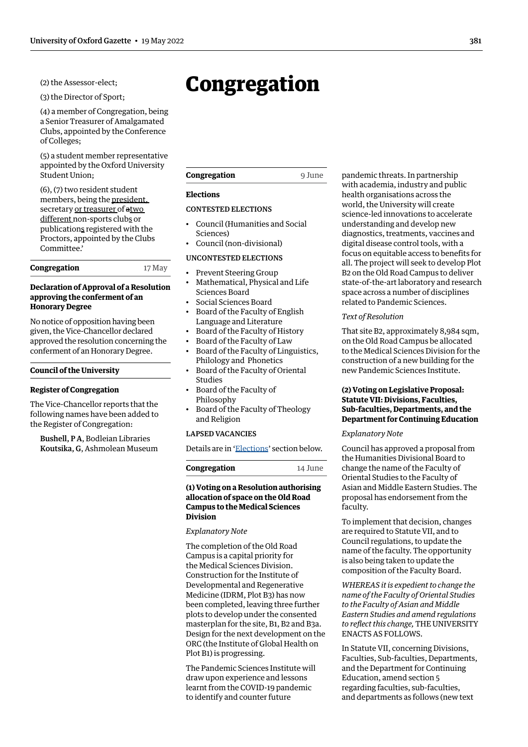<span id="page-2-0"></span>(2) the Assessor-elect;

(3) the Director of Sport;

(4) a member of Congregation, being a Senior Treasurer of Amalgamated Clubs, appointed by the Conference of Colleges;

(5) a student member representative appointed by the Oxford University Student Union;

(6), (7) two resident student members, being the president, secretary or treasurer of atwo different non-sports clubs or publications registered with the Proctors, appointed by the Clubs Committee.'

### **Congregation** 17 May

# **Declaration of Approval of a Resolution approving the conferment of an Honorary Degree**

No notice of opposition having been given, the Vice-Chancellor declared approved the resolution concerning the conferment of an Honorary Degree.

#### **Council of the University**

#### **Register of Congregation**

The Vice-Chancellor reports that the following names have been added to the Register of Congregation:

Bushell, P A, Bodleian Libraries Koutsika, G, Ashmolean Museum

# Congregation

# **Elections**

# [CONTESTED ELECTIONS](#page-9-0)

- [Council](#page-9-0) (Humanities and Social Sciences)
- Council (non-divisional)

#### [UNCONTESTED ELECTIONS](#page-12-0)

- [Prevent Steering Group](#page-12-0)
- [Mathematical, Physical and Life](#page-12-0)  [Sciences Board](#page-12-0)
- [Social Sciences Board](#page-12-0)
- [Board of the Faculty of English](#page-12-0)  [Language and Literature](#page-12-0)
- [Board of the Faculty of History](#page-13-0)
- [Board of the Faculty of Law](#page-13-0)
- [Board of the Faculty of Linguistics,](#page-13-0)  [Philology and Phonetics](#page-13-0)
- [Board of the Faculty of Oriental](#page-14-0)  [Studies](#page-14-0)
	- [Board of the Faculty of](#page-14-0)  [Philosophy](#page-14-0)
	- [Board of the Faculty of Theology](#page-14-0)  [and Religion](#page-14-0)

# [LAPSED VACANCIES](#page-14-0)

Details are in ['Elections'](#page-9-1) section below.

**Congregation** 14 June

| Congregation |  |
|--------------|--|
|--------------|--|

# **(1) Voting on a Resolution authorising allocation of space on the Old Road Campus to the Medical Sciences Division**

## *Explanatory Note*

The completion of the Old Road Campus is a capital priority for the Medical Sciences Division. Construction for the Institute of Developmental and Regenerative Medicine (IDRM, Plot B3) has now been completed, leaving three further plots to develop under the consented masterplan for the site, B1, B2 and B3a. Design for the next development on the ORC (the Institute of Global Health on Plot B1) is progressing.

The Pandemic Sciences Institute will draw upon experience and lessons learnt from the COVID-19 pandemic to identify and counter future

pandemic threats. In partnership with academia, industry and public health organisations across the world, the University will create science-led innovations to accelerate understanding and develop new diagnostics, treatments, vaccines and digital disease control tools, with a focus on equitable access to benefits for all. The project will seek to develop Plot B2 on the Old Road Campus to deliver state-of-the-art laboratory and research space across a number of disciplines related to Pandemic Sciences.

#### *Text of Resolution*

That site B2, approximately 8,984 sqm, on the Old Road Campus be allocated to the Medical Sciences Division for the construction of a new building for the new Pandemic Sciences Institute.

# **(2) Voting on Legislative Proposal: Statute VII: Divisions, Faculties, Sub-faculties, Departments, and the Department for Continuing Education**

# *Explanatory Note*

Council has approved a proposal from the Humanities Divisional Board to change the name of the Faculty of Oriental Studies to the Faculty of Asian and Middle Eastern Studies. The proposal has endorsement from the faculty.

To implement that decision, changes are required to Statute VII, and to Council regulations, to update the name of the faculty. The opportunity is also being taken to update the composition of the Faculty Board.

*WHEREAS it is expedient to change the name of the Faculty of Oriental Studies to the Faculty of Asian and Middle Eastern Studies and amend regulations to reflect this change,* THE UNIVERSITY ENACTS AS FOLLOWS.

In Statute VII, concerning Divisions, Faculties, Sub-faculties, Departments, and the Department for Continuing Education, amend section 5 regarding faculties, sub-faculties, and departments as follows (new text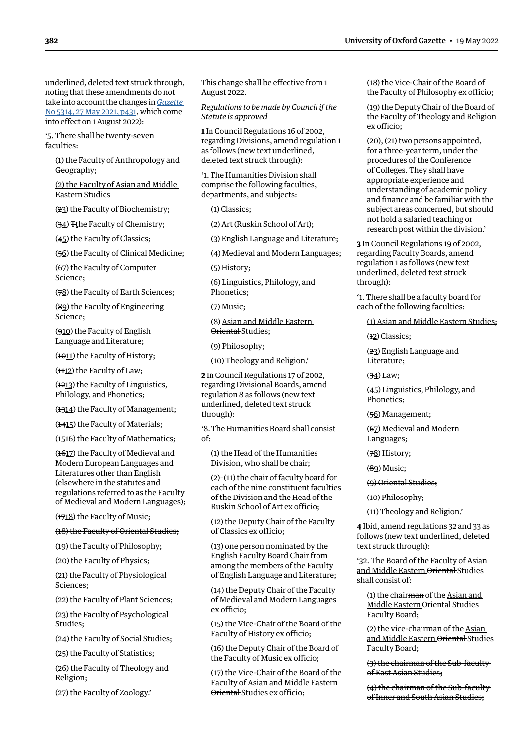underlined, deleted text struck through, noting that these amendments do not take into account the changes in *[Gazette](https://gazette.web.ox.ac.uk/sites/default/files/gazette/documents/media/27_may_2021_-_no_5314_redacted.pdf#page=5)* [No 5314, 27 May 2021, p431,](https://gazette.web.ox.ac.uk/sites/default/files/gazette/documents/media/27_may_2021_-_no_5314_redacted.pdf#page=5) which come into effect on 1 August 2022):

'5. There shall be twenty-seven faculties:

(1) the Faculty of Anthropology and Geography;

(2) the Faculty of Asian and Middle Eastern Studies

(23) the Faculty of Biochemistry;

(34) The Faculty of Chemistry;

(45) the Faculty of Classics;

(56) the Faculty of Clinical Medicine;

(67) the Faculty of Computer Science;

(78) the Faculty of Earth Sciences;

(89) the Faculty of Engineering Science;

(910) the Faculty of English Language and Literature;

 $(1011)$  the Faculty of History;

 $(112)$  the Faculty of Law;

 $(1213)$  the Faculty of Linguistics, Philology, and Phonetics;

(1314) the Faculty of Management;

(**1415**) the Faculty of Materials;

(**1516**) the Faculty of Mathematics;

(1617) the Faculty of Medieval and Modern European Languages and Literatures other than English (elsewhere in the statutes and regulations referred to as the Faculty of Medieval and Modern Languages);

 $(1718)$  the Faculty of Music;

#### (18) the Faculty of Oriental Studies;

(19) the Faculty of Philosophy;

(20) the Faculty of Physics;

(21) the Faculty of Physiological Sciences;

(22) the Faculty of Plant Sciences;

(23) the Faculty of Psychological Studies;

(24) the Faculty of Social Studies;

(25) the Faculty of Statistics;

(26) the Faculty of Theology and Religion;

(27) the Faculty of Zoology.'

This change shall be effective from 1 August 2022.

*Regulations to be made by Council if the Statute is approved*

**1** In Council Regulations 16 of 2002, regarding Divisions, amend regulation 1 as follows (new text underlined, deleted text struck through):

'1. The Humanities Division shall comprise the following faculties, departments, and subjects:

(1) Classics;

(2) Art (Ruskin School of Art);

(3) English Language and Literature;

(4) Medieval and Modern Languages;

(5) History;

(6) Linguistics, Philology, and Phonetics;

(7) Music;

(8) Asian and Middle Eastern Oriental Studies:

(9) Philosophy;

(10) Theology and Religion.'

**2** In Council Regulations 17 of 2002, regarding Divisional Boards, amend regulation 8 as follows (new text underlined, deleted text struck through):

'8. The Humanities Board shall consist of:

(1) the Head of the Humanities Division, who shall be chair;

(2)–(11) the chair of faculty board for each of the nine constituent faculties of the Division and the Head of the Ruskin School of Art ex officio;

(12) the Deputy Chair of the Faculty of Classics ex officio;

(13) one person nominated by the English Faculty Board Chair from among the members of the Faculty of English Language and Literature;

(14) the Deputy Chair of the Faculty of Medieval and Modern Languages ex officio;

(15) the Vice-Chair of the Board of the Faculty of History ex officio;

(16) the Deputy Chair of the Board of the Faculty of Music ex officio;

(17) the Vice-Chair of the Board of the Faculty of Asian and Middle Eastern Oriental Studies ex officio;

(18) the Vice-Chair of the Board of the Faculty of Philosophy ex officio;

(19) the Deputy Chair of the Board of the Faculty of Theology and Religion ex officio;

(20), (21) two persons appointed, for a three-year term, under the procedures of the Conference of Colleges. They shall have appropriate experience and understanding of academic policy and finance and be familiar with the subject areas concerned, but should not hold a salaried teaching or research post within the division.'

**3** In Council Regulations 19 of 2002, regarding Faculty Boards, amend regulation 1 as follows (new text underlined, deleted text struck through):

'1. There shall be a faculty board for each of the following faculties:

(1) Asian and Middle Eastern Studies;

(12) Classics;

(23) English Language and Literature;

(34) Law;

(45) Linguistics, Philology, and Phonetics;

(56) Management;

(67) Medieval and Modern Languages;

(78) History;

(89) Music;

(9) Oriental Studies;

(10) Philosophy;

(11) Theology and Religion.'

**4** Ibid, amend regulations 32 and 33 as follows (new text underlined, deleted text struck through):

'32. The Board of the Faculty of Asian and Middle Eastern Oriental Studies shall consist of:

(1) the chair  $\frac{m}{m}$  of the Asian and Middle Eastern Oriental Studies Faculty Board;

(2) the vice-chairman of the Asian and Middle Eastern Oriental Studies Faculty Board;

(3) the chairman of the Sub-faculty of East Asian Studies;

(4) the chairman of the Sub-faculty of Inner and South Asian Studies;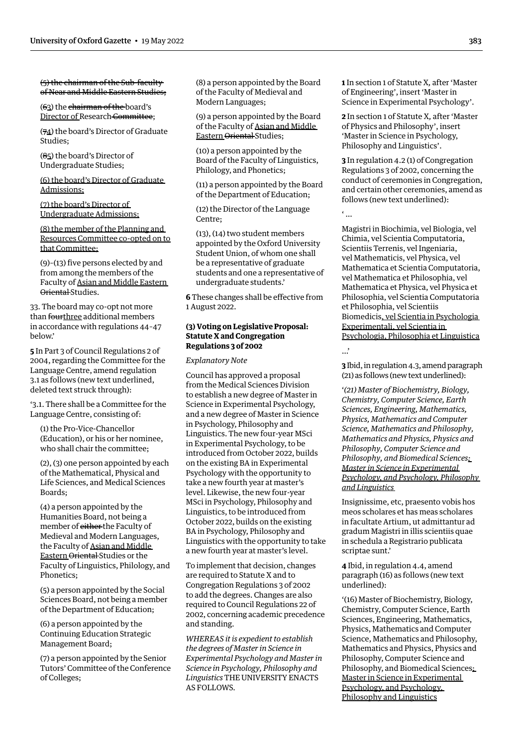## <span id="page-4-0"></span>(5) the chairman of the Sub-faculty of Near and Middle Eastern Studies;

(63) the chairman of the board's Director of Research Committee:

(74) the board's Director of Graduate Studies;

(85) the board's Director of Undergraduate Studies;

(6) the board's Director of Graduate Admissions;

# (7) the board's Director of Undergraduate Admissions;

(8) the member of the Planning and Resources Committee co-opted on to that Committee;

(9)–(13) five persons elected by and from among the members of the Faculty of Asian and Middle Eastern Oriental Studies.

33. The board may co-opt not more than fourthree additional members in accordance with regulations 44–47 below.'

**5** In Part 3 of Council Regulations 2 of 2004, regarding the Committee for the Language Centre, amend regulation 3.1 as follows (new text underlined, deleted text struck through):

'3.1. There shall be a Committee for the Language Centre, consisting of:

(1) the Pro-Vice-Chancellor (Education), or his or her nominee, who shall chair the committee;

(2), (3) one person appointed by each of the Mathematical, Physical and Life Sciences, and Medical Sciences Boards;

(4) a person appointed by the Humanities Board, not being a member of either the Faculty of Medieval and Modern Languages, the Faculty of Asian and Middle Eastern Oriental Studies or the Faculty of Linguistics, Philology, and Phonetics;

(5) a person appointed by the Social Sciences Board, not being a member of the Department of Education;

(6) a person appointed by the Continuing Education Strategic Management Board;

(7) a person appointed by the Senior Tutors' Committee of the Conference of Colleges;

(8) a person appointed by the Board of the Faculty of Medieval and Modern Languages;

(9) a person appointed by the Board of the Faculty of Asian and Middle Eastern Oriental Studies;

(10) a person appointed by the Board of the Faculty of Linguistics, Philology, and Phonetics;

(11) a person appointed by the Board of the Department of Education;

(12) the Director of the Language Centre;

(13), (14) two student members appointed by the Oxford University Student Union, of whom one shall be a representative of graduate students and one a representative of undergraduate students.'

**6** These changes shall be effective from 1 August 2022.

# **(3) Voting on Legislative Proposal: Statute X and Congregation Regulations 3 of 2002**

*Explanatory Note*

Council has approved a proposal from the Medical Sciences Division to establish a new degree of Master in Science in Experimental Psychology, and a new degree of Master in Science in Psychology, Philosophy and Linguistics. The new four-year MSci in Experimental Psychology, to be introduced from October 2022, builds on the existing BA in Experimental Psychology with the opportunity to take a new fourth year at master's level. Likewise, the new four-year MSci in Psychology, Philosophy and Linguistics, to be introduced from October 2022, builds on the existing BA in Psychology, Philosophy and Linguistics with the opportunity to take a new fourth year at master's level.

To implement that decision, changes are required to Statute X and to Congregation Regulations 3 of 2002 to add the degrees. Changes are also required to Council Regulations 22 of 2002, concerning academic precedence and standing.

*WHEREAS it is expedient to establish the degrees of Master in Science in Experimental Psychology and Master in Science in Psychology, Philosophy and Linguistics* THE UNIVERSITY ENACTS AS FOLLOWS*.*

**1** In section 1 of Statute X*,* after 'Master of Engineering', insert 'Master in Science in Experimental Psychology'.

**2** In section 1 of Statute X*,* after 'Master of Physics and Philosophy', insert 'Master in Science in Psychology, Philosophy and Linguistics'.

**3** In regulation 4.2 (1) of Congregation Regulations 3 of 2002, concerning the conduct of ceremonies in Congregation, and certain other ceremonies, amend as follows (new text underlined):

' …

Magistri in Biochimia, vel Biologia, vel Chimia, vel Scientia Computatoria, Scientiis Terrenis, vel Ingeniaria, vel Mathematicis, vel Physica, vel Mathematica et Scientia Computatoria, vel Mathematica et Philosophia, vel Mathematica et Physica, vel Physica et Philosophia, vel Scientia Computatoria et Philosophia, vel Scientiis Biomedicis, vel Scientia in Psychologia Experimentali, vel Scientia in Psychologia, Philosophia et Linguistica

…'

**3** Ibid, in regulation 4.3, amend paragraph (21) as follows (new text underlined):

'*(21) Master of Biochemistry, Biology, Chemistry, Computer Science, Earth Sciences, Engineering, Mathematics, Physics, Mathematics and Computer Science, Mathematics and Philosophy, Mathematics and Physics, Physics and Philosophy, Computer Science and Philosophy, and Biomedical Sciences; Master in Science in Experimental Psychology, and Psychology, Philosophy and Linguistics* 

Insignissime, etc, praesento vobis hos meos scholares et has meas scholares in facultate Artium, ut admittantur ad gradum Magistri in illis scientiis quae in schedula a Registrario publicata scriptae sunt.'

**4** Ibid, in regulation 4.4, amend paragraph (16) as follows (new text underlined):

'(16) Master of Biochemistry, Biology, Chemistry, Computer Science, Earth Sciences, Engineering, Mathematics, Physics, Mathematics and Computer Science, Mathematics and Philosophy, Mathematics and Physics, Physics and Philosophy, Computer Science and Philosophy, and Biomedical Sciences; Master in Science in Experimental Psychology, and Psychology, Philosophy and Linguistics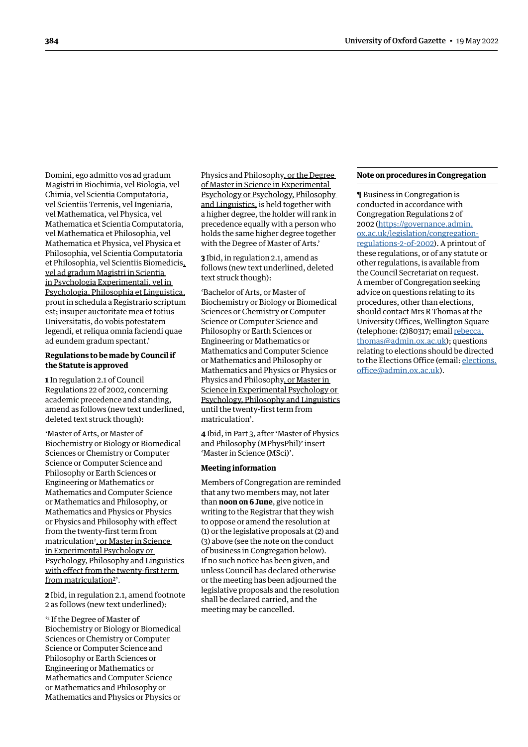Domini, ego admitto vos ad gradum Magistri in Biochimia, vel Biologia, vel Chimia, vel Scientia Computatoria, vel Scientiis Terrenis, vel Ingeniaria, vel Mathematica, vel Physica, vel Mathematica et Scientia Computatoria, vel Mathematica et Philosophia, vel Mathematica et Physica, vel Physica et Philosophia, vel Scientia Computatoria et Philosophia, vel Scientiis Biomedicis, vel ad gradum Magistri in Scientia in Psychologia Experimentali, vel in Psychologia, Philosophia et Linguistica, prout in schedula a Registrario scriptum est; insuper auctoritate mea et totius Universitatis, do vobis potestatem legendi, et reliqua omnia faciendi quae ad eundem gradum spectant.'

# **Regulations to be made by Council if the Statute is approved**

**1** In regulation 2.1 of Council Regulations 22 of 2002, concerning academic precedence and standing, amend as follows (new text underlined, deleted text struck though):

'Master of Arts, or Master of Biochemistry or Biology or Biomedical Sciences or Chemistry or Computer Science or Computer Science and Philosophy or Earth Sciences or Engineering or Mathematics or Mathematics and Computer Science or Mathematics and Philosophy, or Mathematics and Physics or Physics or Physics and Philosophy with effect from the twenty-first term from matriculation<del>?, or Master in Science</del> in Experimental Psychology or Psychology, Philosophy and Linguistics with effect from the twenty-first term from matriculation2'.

**2** Ibid, in regulation 2.1, amend footnote 2 as follows (new text underlined):

' 2 If the Degree of Master of Biochemistry or Biology or Biomedical Sciences or Chemistry or Computer Science or Computer Science and Philosophy or Earth Sciences or Engineering or Mathematics or Mathematics and Computer Science or Mathematics and Philosophy or Mathematics and Physics or Physics or

Physics and Philosophy, or the Degree of Master in Science in Experimental Psychology or Psychology, Philosophy and Linguistics, is held together with a higher degree, the holder will rank in precedence equally with a person who holds the same higher degree together with the Degree of Master of Arts.'

**3** Ibid, in regulation 2.1, amend as follows (new text underlined, deleted text struck though):

'Bachelor of Arts, or Master of Biochemistry or Biology or Biomedical Sciences or Chemistry or Computer Science or Computer Science and Philosophy or Earth Sciences or Engineering or Mathematics or Mathematics and Computer Science or Mathematics and Philosophy or Mathematics and Physics or Physics or Physics and Philosophy, or Master in Science in Experimental Psychology or Psychology, Philosophy and Linguistics until the twenty-first term from matriculation'.

**4** Ibid, in Part 3, after 'Master of Physics and Philosophy (MPhysPhil)' insert 'Master in Science (MSci)'.

#### **Meeting information**

Members of Congregation are reminded that any two members may, not later than **noon on 6 June**, give notice in writing to the Registrar that they wish to oppose or amend the resolution at (1) or the legislative proposals at (2) and (3) above (see the note on the conduct of business in Congregation below). If no such notice has been given, and unless Council has declared otherwise or the meeting has been adjourned the legislative proposals and the resolution shall be declared carried, and the meeting may be cancelled.

#### **Note on procedures in Congregation**

¶ Business in Congregation is conducted in accordance with Congregation Regulations 2 of 2002 ([https://governance.admin.](https://governance.admin.ox.ac.uk/legislation/congregation-regulations-2-of-2002) [ox.ac.uk/legislation/congregation](https://governance.admin.ox.ac.uk/legislation/congregation-regulations-2-of-2002)[regulations-2-of-2002](https://governance.admin.ox.ac.uk/legislation/congregation-regulations-2-of-2002)). A printout of these regulations, or of any statute or other regulations, is available from the Council Secretariat on request. A member of Congregation seeking advice on questions relating to its procedures, other than elections, should contact Mrs R Thomas at the University Offices, Wellington Square (telephone: (2)80317; email [rebecca.](mailto:rebecca.thomas@admin.ox.ac.uk) [thomas@admin.ox.ac.uk](mailto:rebecca.thomas@admin.ox.ac.uk)); questions relating to elections should be directed to the Elections Office (email: [elections.](mailto:elections.office@admin.ox.ac.uk) [office@admin.ox.ac.uk\)](mailto:elections.office@admin.ox.ac.uk).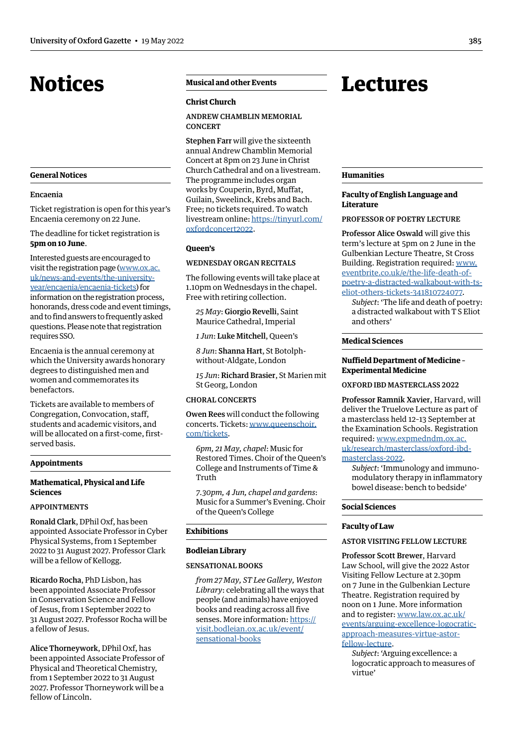# <span id="page-6-0"></span>Notices

## **General Notices**

#### Encaenia

Ticket registration is open for this year's Encaenia ceremony on 22 June.

The deadline for ticket registration is **5pm on 10 June**.

Interested guests are encouraged to visit the [registration page](https://www.ox.ac.uk/news-and-events/the-university-year/encaenia/encaenia-tickets) ([www.ox.ac.](https://www.ox.ac.uk/news-and-events/the-university-year/encaenia/encaenia-tickets) [uk/news-and-events/the-university](https://www.ox.ac.uk/news-and-events/the-university-year/encaenia/encaenia-tickets)[year/encaenia/encaenia-tickets\)](https://www.ox.ac.uk/news-and-events/the-university-year/encaenia/encaenia-tickets) for information on the registration process, honorands, dress code and event timings, and to find answers to frequently asked questions. Please note that registration requires SSO.

Encaenia is the annual ceremony at which the University awards honorary degrees to distinguished men and women and commemorates its benefactors.

Tickets are available to members of Congregation, Convocation, staff, students and academic visitors, and will be allocated on a first-come, firstserved basis.

#### **Appointments**

# **Mathematical, Physical and Life Sciences**

# APPOINTMENTS

Ronald Clark, DPhil Oxf, has been appointed Associate Professor in Cyber Physical Systems, from 1 September 2022 to 31 August 2027. Professor Clark will be a fellow of Kellogg.

Ricardo Rocha, PhD Lisbon, has been appointed Associate Professor in Conservation Science and Fellow of Jesus, from 1 September 2022 to 31 August 2027. Professor Rocha will be a fellow of Jesus.

Alice Thorneywork, DPhil Oxf, has been appointed Associate Professor of Physical and Theoretical Chemistry, from 1 September 2022 to 31 August 2027. Professor Thorneywork will be a fellow of Lincoln.

# **Musical and other Events**

#### **Christ Church**

# ANDREW CHAMBLIN MEMORIAL **CONCERT**

Stephen Farr will give the sixteenth annual Andrew Chamblin Memorial Concert at 8pm on 23 June in Christ Church Cathedral and on a livestream. The programme includes organ works by Couperin, Byrd, Muffat, Guilain, Sweelinck, Krebs and Bach. Free; no tickets required. To watch livestream online: [https://tinyurl.com/](https://tinyurl.com/oxfordconcert2022) [oxfordconcert2022](https://tinyurl.com/oxfordconcert2022).

# **Queen's**

# WEDNESDAY ORGAN RECITALS

The following events will take place at 1.10pm on Wednesdays in the chapel. Free with retiring collection.

*25 May*: Giorgio Revelli, Saint Maurice Cathedral, Imperial

*1 Jun*: Luke Mitchell, Queen's

*8 Jun*: Shanna Hart, St Botolphwithout-Aldgate, London

*15 Jun*: Richard Brasier, St Marien mit St Georg, London

#### CHORAL CONCERTS

Owen Rees will conduct the following concerts. Tickets: [www.queenschoir.](http://www.queenschoir.com/tickets) [com/tickets.](http://www.queenschoir.com/tickets)

*6pm, 21 May, chapel*: Music for Restored Times. Choir of the Queen's College and Instruments of Time & Truth

*7.30pm, 4 Jun, chapel and gardens*: Music for a Summer's Evening. Choir of the Queen's College

## **Exhibitions**

# **Bodleian Library**

#### SENSATIONAL BOOKS

*from 27 May, ST Lee Gallery, Weston Library*: celebrating all the ways that people (and animals) have enjoyed books and reading across all five senses. More information: [https://](https://visit.bodleian.ox.ac.uk/event/sensational-books) [visit.bodleian.ox.ac.uk/event/](https://visit.bodleian.ox.ac.uk/event/sensational-books) [sensational-books](https://visit.bodleian.ox.ac.uk/event/sensational-books)

# Lectures

#### **Humanities**

# **Faculty of English Language and Literature**

PROFESSOR OF POETRY LECTURE

Professor Alice Oswald will give this term's lecture at 5pm on 2 June in the Gulbenkian Lecture Theatre, St Cross Building. Registration required: [www.](http://www.eventbrite.co.uk/e/the-life-death-of-poetry-a-distracted-walkabout-with-ts-eliot-others-tickets-341810724077) [eventbrite.co.uk/e/the-life-death-of](http://www.eventbrite.co.uk/e/the-life-death-of-poetry-a-distracted-walkabout-with-ts-eliot-others-tickets-341810724077)[poetry-a-distracted-walkabout-with-ts](http://www.eventbrite.co.uk/e/the-life-death-of-poetry-a-distracted-walkabout-with-ts-eliot-others-tickets-341810724077)[eliot-others-tickets-341810724077](http://www.eventbrite.co.uk/e/the-life-death-of-poetry-a-distracted-walkabout-with-ts-eliot-others-tickets-341810724077).

*Subject*: 'The life and death of poetry: a distracted walkabout with T S Eliot and others'

#### **Medical Sciences**

#### **Nuffield Department of Medicine – Experimental Medicine**

# OXFORD IBD MASTERCLASS 2022

Professor Ramnik Xavier, Harvard, will deliver the Truelove Lecture as part of a masterclass held 12–13 September at the Examination Schools. Registration required: [www.expmedndm.ox.ac.](http://www.expmedndm.ox.ac.uk/research/masterclass/oxford-ibd-masterclass-2022) [uk/research/masterclass/oxford-ibd](http://www.expmedndm.ox.ac.uk/research/masterclass/oxford-ibd-masterclass-2022)[masterclass-2022](http://www.expmedndm.ox.ac.uk/research/masterclass/oxford-ibd-masterclass-2022).

*Subject*: ['Immunology and immuno](www.expmedndm.ox.ac.uk/research/masterclass/oxford-ibd-masterclass-2022
)[modulatory therapy in inflammatory](www.expmedndm.ox.ac.uk/research/masterclass/oxford-ibd-masterclass-2022
) [bowel disease: bench to bedside](www.expmedndm.ox.ac.uk/research/masterclass/oxford-ibd-masterclass-2022
)'

# **Social Sciences**

## **Faculty of Law**

# ASTOR VISITING FELLOW LECTURE

Professor Scott Brewer, Harvard Law School, will give the 2022 Astor Visiting Fellow Lecture at 2.30pm on 7 June in the Gulbenkian Lecture Theatre. Registration required by noon on 1 June. More information and to register: [www.law.ox.ac.uk/](http://www.law.ox.ac.uk/events/arguing-excellence-logocratic-approach-measures-virtue-astor-fellow-lecture) [events/arguing-excellence-logocratic](http://www.law.ox.ac.uk/events/arguing-excellence-logocratic-approach-measures-virtue-astor-fellow-lecture)[approach-measures-virtue-astor](http://www.law.ox.ac.uk/events/arguing-excellence-logocratic-approach-measures-virtue-astor-fellow-lecture)[fellow-lecture.](http://www.law.ox.ac.uk/events/arguing-excellence-logocratic-approach-measures-virtue-astor-fellow-lecture)

*Subject*: 'Arguing excellence: a logocratic approach to measures of virtue'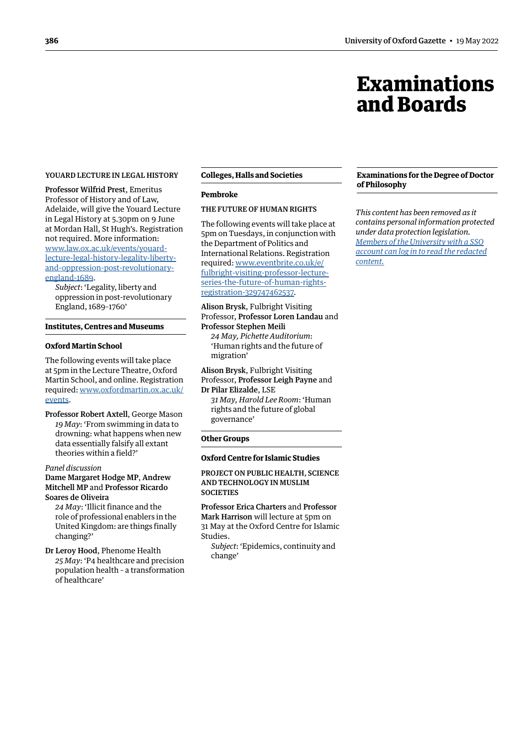# Examinations and Boards

#### <span id="page-7-0"></span>YOUARD LECTURE IN LEGAL HISTORY

Professor Wilfrid Prest, Emeritus Professor of History and of Law, Adelaide, will give the Youard Lecture in Legal History at 5.30pm on 9 June at Mordan Hall, St Hugh's. Registration not required. More information: [www.law.ox.ac.uk/events/youard](http://www.law.ox.ac.uk/events/youard-lecture-legal-history-legality-liberty-and-oppression-post-revolutionary-england-1689)[lecture-legal-history-legality-liberty](http://www.law.ox.ac.uk/events/youard-lecture-legal-history-legality-liberty-and-oppression-post-revolutionary-england-1689)[and-oppression-post-revolutionary](http://www.law.ox.ac.uk/events/youard-lecture-legal-history-legality-liberty-and-oppression-post-revolutionary-england-1689)[england-1689](http://www.law.ox.ac.uk/events/youard-lecture-legal-history-legality-liberty-and-oppression-post-revolutionary-england-1689).

*Subject*: 'Legality, liberty and oppression in post-revolutionary England, 1689–1760'

#### **Institutes, Centres and Museums**

#### **Oxford Martin School**

The following events will take place at 5pm in the Lecture Theatre, Oxford Martin School, and online. Registration required: [www.oxfordmartin.ox.ac.uk/](http://www.oxfordmartin.ox.ac.uk/events) [events.](http://www.oxfordmartin.ox.ac.uk/events)

Professor Robert Axtell, George Mason *19 May*: ['From swimming in data to](https://www.oxfordmartin.ox.ac.uk/events/data-robert-axtell/)  [drowning: what happens when new](https://www.oxfordmartin.ox.ac.uk/events/data-robert-axtell/)  [data essentially falsify all extant](https://www.oxfordmartin.ox.ac.uk/events/data-robert-axtell/)  [theories within a field?'](https://www.oxfordmartin.ox.ac.uk/events/data-robert-axtell/)

*Panel discussion*

# Dame Margaret Hodge MP, Andrew Mitchell MP and Professor Ricardo Soares de Oliveira

*24 May*: ['Illicit finance and the](https://www.oxfordmartin.ox.ac.uk/events/illicit-finance-mitchell-hodge/)  [role of professional enablers in the](https://www.oxfordmartin.ox.ac.uk/events/illicit-finance-mitchell-hodge/)  [United Kingdom: are things finally](https://www.oxfordmartin.ox.ac.uk/events/illicit-finance-mitchell-hodge/)  [changing?'](https://www.oxfordmartin.ox.ac.uk/events/illicit-finance-mitchell-hodge/)

Dr Leroy Hood, Phenome Health *25 May*: ['P4 healthcare and precision](https://www.oxfordmartin.ox.ac.uk/events/healthcare/)  [population health – a transformation](https://www.oxfordmartin.ox.ac.uk/events/healthcare/)  [of healthcare'](https://www.oxfordmartin.ox.ac.uk/events/healthcare/)

# **Colleges, Halls and Societies**

#### **Pembroke**

# THE FUTURE OF HUMAN RIGHTS

The following events will take place at 5pm on Tuesdays, in conjunction with the Department of Politics and International Relations. Registration required: [www.eventbrite.co.uk/e/](https://www.eventbrite.co.uk/e/fulbright-visiting-professor-lecture-series-the-future-of-human-rights-registration-329747462537) [fulbright-visiting-professor-lecture](https://www.eventbrite.co.uk/e/fulbright-visiting-professor-lecture-series-the-future-of-human-rights-registration-329747462537)[series-the-future-of-human-rights](https://www.eventbrite.co.uk/e/fulbright-visiting-professor-lecture-series-the-future-of-human-rights-registration-329747462537)[registration-329747462537.](https://www.eventbrite.co.uk/e/fulbright-visiting-professor-lecture-series-the-future-of-human-rights-registration-329747462537)

# Alison Brysk, Fulbright Visiting Professor, Professor Loren Landau and Professor Stephen Meili

*24 May, Pichette Auditorium*: 'Human rights and the future of migration'

# Alison Brysk, Fulbright Visiting Professor, Professor Leigh Payne and Dr Pilar Elizalde, LSE

*31 May, Harold Lee Room*: 'Human rights and the future of global governance'

#### **Other Groups**

# **Oxford Centre for Islamic Studies**

PROJECT ON PUBLIC HEALTH, SCIENCE AND TECHNOLOGY IN MUSLIM **SOCIETIES** 

Professor Erica Charters and Professor Mark Harrison will lecture at 5pm on 31 May at the Oxford Centre for Islamic Studies.

*Subject*: 'Epidemics, continuity and change'

#### **Examinations for the Degree of Doctor of Philosophy**

*This content has been removed as it contains personal information protected under data protection legislation. Members of the University with a SSO [account can log in to read the redacted](https://unioxfordnexus.sharepoint.com/sites/PublicAffairsDirectorate-Gazette/Online%20Gazette%20Issues/Gazette%202021-22/19%20May%202022%20-%20No%205349.pdf#page=8)  content.*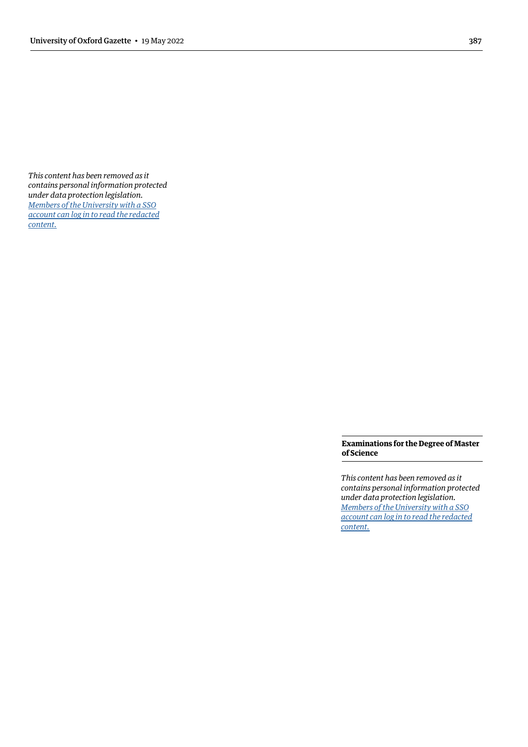<span id="page-8-0"></span>*This content has been removed as it contains personal information protected under data protection legislation. Members of the University with a SSO [account can log in to read the redacted](https://unioxfordnexus.sharepoint.com/sites/PublicAffairsDirectorate-Gazette/Online%20Gazette%20Issues/Gazette%202021-22/19%20May%202022%20-%20No%205349.pdf#page=9)  content.*

> **Examinations for the Degree of Master of Science**

> *This content has been removed as it contains personal information protected under data protection legislation. Members of the University with a SSO [account can log in to read the redacted](https://unioxfordnexus.sharepoint.com/sites/PublicAffairsDirectorate-Gazette/Online%20Gazette%20Issues/Gazette%202021-22/19%20May%202022%20-%20No%205349.pdf#page=9)  content.*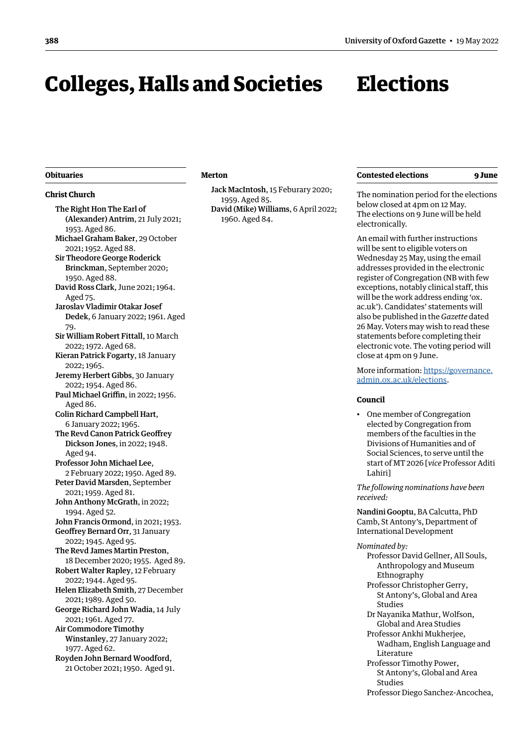# <span id="page-9-0"></span>Colleges, Halls and Societies

# **Elections**

#### **Obituaries**

# **Christ Church**

The Right Hon The Earl of (Alexander) Antrim, 21 July 2021; 1953. Aged 86. Michael Graham Baker, 29 October 2021; 1952. Aged 88. Sir Theodore George Roderick Brinckman, September 2020; 1950. Aged 88. David Ross Clark, June 2021; 1964. Aged 75. Jaroslav Vladimir Otakar Josef Dedek, 6 January 2022; 1961. Aged 79. Sir William Robert Fittall, 10 March 2022; 1972. Aged 68. Kieran Patrick Fogarty, 18 January 2022; 1965. Jeremy Herbert Gibbs, 30 January 2022; 1954. Aged 86. Paul Michael Griffin, in 2022; 1956. Aged 86. Colin Richard Campbell Hart, 6 January 2022; 1965. The Revd Canon Patrick Geoffrey Dickson Jones, in 2022; 1948. Aged 94. Professor John Michael Lee, 2 February 2022; 1950. Aged 89. Peter David Marsden, September 2021; 1959. Aged 81. John Anthony McGrath, in 2022; 1994. Aged 52. John Francis Ormond, in 2021; 1953. Geoffrey Bernard Orr, 31 January 2022; 1945. Aged 95. The Revd James Martin Preston, 18 December 2020; 1955. Aged 89. Robert Walter Rapley, 12 February 2022; 1944. Aged 95. Helen Elizabeth Smith, 27 December 2021; 1989. Aged 50. George Richard John Wadia, 14 July 2021; 1961. Aged 77. Air Commodore Timothy Winstanley, 27 January 2022; 1977. Aged 62. Royden John Bernard Woodford, 21 October 2021; 1950. Aged 91.

#### **Merton**

<span id="page-9-1"></span>Jack MacIntosh, 15 Feburary 2020; 1959. Aged 85. David (Mike) Williams, 6 April 2022; 1960. Aged 84.

The nomination period for the elections below closed at 4pm on 12 May. The elections on 9 June will be held electronically.

An email with further instructions will be sent to eligible voters on Wednesday 25 May, using the email addresses provided in the electronic register of Congregation (NB with few exceptions, notably clinical staff, this will be the work address ending 'ox. ac.uk'). Candidates' statements will also be published in the *Gazette* dated 26 May. Voters may wish to read these statements before completing their electronic vote. The voting period will close at 4pm on 9 June.

More information: [https://governance.](https://governance.admin.ox.ac.uk/elections) [admin.ox.ac.uk/elections.](https://governance.admin.ox.ac.uk/elections)

#### **Council**

• One member of Congregation elected by Congregation from members of the faculties in the Divisions of Humanities and of Social Sciences, to serve until the start of MT 2026 [*vice* Professor Aditi Lahiri]

*The following nominations have been received:* 

Nandini Gooptu, BA Calcutta, PhD Camb, St Antony's, Department of International Development

#### *Nominated by:*

- Professor David Gellner, All Souls, Anthropology and Museum Ethnography
- Professor Christopher Gerry, St Antony's, Global and Area Studies
- Dr Nayanika Mathur, Wolfson, Global and Area Studies
- Professor Ankhi Mukherjee, Wadham, English Language and Literature
- Professor Timothy Power, St Antony's, Global and Area Studies
- Professor Diego Sanchez-Ancochea,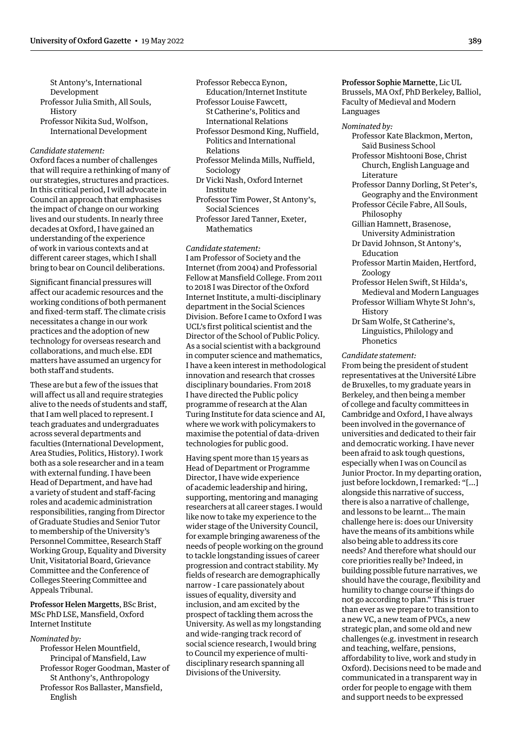St Antony's, International Development Professor Julia Smith, All Souls,

- History
- Professor Nikita Sud, Wolfson, International Development

# *Candidate statement:*

Oxford faces a number of challenges that will require a rethinking of many of our strategies, structures and practices. In this critical period, I will advocate in Council an approach that emphasises the impact of change on our working lives and our students. In nearly three decades at Oxford, I have gained an understanding of the experience of work in various contexts and at different career stages, which I shall bring to bear on Council deliberations.

Significant financial pressures will affect our academic resources and the working conditions of both permanent and fixed-term staff. The climate crisis necessitates a change in our work practices and the adoption of new technology for overseas research and collaborations, and much else. EDI matters have assumed an urgency for both staff and students.

These are but a few of the issues that will affect us all and require strategies alive to the needs of students and staff, that I am well placed to represent. I teach graduates and undergraduates across several departments and faculties (International Development, Area Studies, Politics, History). I work both as a sole researcher and in a team with external funding. I have been Head of Department, and have had a variety of student and staff-facing roles and academic administration responsibilities, ranging from Director of Graduate Studies and Senior Tutor to membership of the University's Personnel Committee, Research Staff Working Group, Equality and Diversity Unit, Visitatorial Board, Grievance Committee and the Conference of Colleges Steering Committee and Appeals Tribunal.

Professor Helen Margetts, BSc Brist, MSc PhD LSE, Mansfield, Oxford Internet Institute

#### *Nominated by:*

Professor Helen Mountfield, Principal of Mansfield, Law Professor Roger Goodman, Master of St Anthony's, Anthropology Professor Ros Ballaster, Mansfield, English

Professor Rebecca Eynon, Education/Internet Institute

- Professor Louise Fawcett, St Catherine's, Politics and
	- International Relations
- Professor Desmond King, Nuffield, Politics and International Relations
- Professor Melinda Mills, Nuffield, Sociology
- Dr Vicki Nash, Oxford Internet Institute
- Professor Tim Power, St Antony's, Social Sciences
- Professor Jared Tanner, Exeter, Mathematics

*Candidate statement:* I am Professor of Society and the Internet (from 2004) and Professorial Fellow at Mansfield College. From 2011 to 2018 I was Director of the Oxford Internet Institute, a multi-disciplinary department in the Social Sciences Division. Before I came to Oxford I was UCL's first political scientist and the Director of the School of Public Policy. As a social scientist with a background in computer science and mathematics, I have a keen interest in methodological innovation and research that crosses disciplinary boundaries. From 2018 I have directed the Public policy programme of research at the Alan Turing Institute for data science and AI, where we work with policymakers to maximise the potential of data-driven technologies for public good.

Having spent more than 15 years as Head of Department or Programme Director, I have wide experience of academic leadership and hiring, supporting, mentoring and managing researchers at all career stages. I would like now to take my experience to the wider stage of the University Council, for example bringing awareness of the needs of people working on the ground to tackle longstanding issues of career progression and contract stability. My fields of research are demographically narrow - I care passionately about issues of equality, diversity and inclusion, and am excited by the prospect of tackling them across the University. As well as my longstanding and wide-ranging track record of social science research, I would bring to Council my experience of multidisciplinary research spanning all Divisions of the University.

Professor Sophie Marnette, Lic UL Brussels, MA Oxf, PhD Berkeley, Balliol, Faculty of Medieval and Modern Languages

#### *Nominated by:*

- Professor Kate Blackmon, Merton, Saïd Business School
- Professor Mishtooni Bose, Christ Church, English Language and Literature
- Professor Danny Dorling, St Peter's, Geography and the Environment Professor Cécile Fabre, All Souls,
- Philosophy
- Gillian Hamnett, Brasenose, University Administration
- Dr David Johnson, St Antony's, Education
- Professor Martin Maiden, Hertford, Zoology
- Professor Helen Swift, St Hilda's, Medieval and Modern Languages
- Professor William Whyte St John's, History
- Dr Sam Wolfe, St Catherine's, Linguistics, Philology and Phonetics

#### *Candidate statement:*

From being the president of student representatives at the Université Libre de Bruxelles, to my graduate years in Berkeley, and then being a member of college and faculty committees in Cambridge and Oxford, I have always been involved in the governance of universities and dedicated to their fair and democratic working. I have never been afraid to ask tough questions, especially when I was on Council as Junior Proctor. In my departing oration, just before lockdown, I remarked: "[…] alongside this narrative of success, there is also a narrative of challenge, and lessons to be learnt… The main challenge here is: does our University have the means of its ambitions while also being able to address its core needs? And therefore what should our core priorities really be? Indeed, in building possible future narratives, we should have the courage, flexibility and humility to change course if things do not go according to plan." This is truer than ever as we prepare to transition to a new VC, a new team of PVCs, a new strategic plan, and some old and new challenges (e.g. investment in research and teaching, welfare, pensions, affordability to live, work and study in Oxford). Decisions need to be made and communicated in a transparent way in order for people to engage with them and support needs to be expressed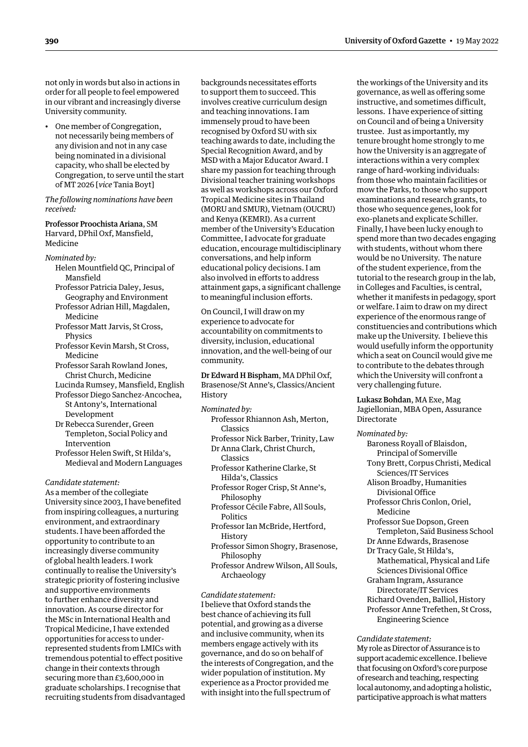not only in words but also in actions in order for all people to feel empowered in our vibrant and increasingly diverse University community.

• One member of Congregation, not necessarily being members of any division and not in any case being nominated in a divisional capacity, who shall be elected by Congregation, to serve until the start of MT 2026 [*vice* Tania Boyt]

*The following nominations have been received:*

# Professor Proochista Ariana, SM Harvard, DPhil Oxf, Mansfield,

Medicine

*Nominated by:*

- Helen Mountfield QC, Principal of Mansfield
- Professor Patricia Daley, Jesus, Geography and Environment
- Professor Adrian Hill, Magdalen, Medicine
- Professor Matt Jarvis, St Cross, Physics
- Professor Kevin Marsh, St Cross, Medicine
- Professor Sarah Rowland Jones, Christ Church, Medicine
- Lucinda Rumsey, Mansfield, English Professor Diego Sanchez-Ancochea, St Antony's, International
- Development Dr Rebecca Surender, Green Templeton, Social Policy and Intervention
- Professor Helen Swift, St Hilda's, Medieval and Modern Languages

#### *Candidate statement:*

As a member of the collegiate University since 2003, I have benefited from inspiring colleagues, a nurturing environment, and extraordinary students. I have been afforded the opportunity to contribute to an increasingly diverse community of global health leaders. I work continually to realise the University's strategic priority of fostering inclusive and supportive environments to further enhance diversity and innovation. As course director for the MSc in International Health and Tropical Medicine, I have extended opportunities for access to underrepresented students from LMICs with tremendous potential to effect positive change in their contexts through securing more than £3,600,000 in graduate scholarships. I recognise that recruiting students from disadvantaged backgrounds necessitates efforts to support them to succeed. This involves creative curriculum design and teaching innovations. I am immensely proud to have been recognised by Oxford SU with six teaching awards to date, including the Special Recognition Award, and by MSD with a Major Educator Award. I share my passion for teaching through Divisional teacher training workshops as well as workshops across our Oxford Tropical Medicine sites in Thailand (MORU and SMUR), Vietnam (OUCRU) and Kenya (KEMRI). As a current member of the University's Education Committee, I advocate for graduate education, encourage multidisciplinary conversations, and help inform educational policy decisions. I am also involved in efforts to address attainment gaps, a significant challenge to meaningful inclusion efforts.

On Council, I will draw on my experience to advocate for accountability on commitments to diversity, inclusion, educational innovation, and the well-being of our community.

Dr Edward H Bispham, MA DPhil Oxf, Brasenose/St Anne's, Classics/Ancient History

#### *Nominated by:*

- Professor Rhiannon Ash, Merton, Classics
- Professor Nick Barber, Trinity, Law Dr Anna Clark, Christ Church, Classics
- Professor Katherine Clarke, St Hilda's, Classics
- Professor Roger Crisp, St Anne's, Philosophy
- Professor Cécile Fabre, All Souls, Politics
- Professor Ian McBride, Hertford, **History**
- Professor Simon Shogry, Brasenose, Philosophy
- Professor Andrew Wilson, All Souls, Archaeology

#### *Candidate statement:*

I believe that Oxford stands the best chance of achieving its full potential, and growing as a diverse and inclusive community, when its members engage actively with its governance, and do so on behalf of the interests of Congregation, and the wider population of institution. My experience as a Proctor provided me with insight into the full spectrum of

the workings of the University and its governance, as well as offering some instructive, and sometimes difficult, lessons. I have experience of sitting on Council and of being a University trustee. Just as importantly, my tenure brought home strongly to me how the University is an aggregate of interactions within a very complex range of hard-working individuals: from those who maintain facilities or mow the Parks, to those who support examinations and research grants, to those who sequence genes, look for exo-planets and explicate Schiller. Finally, I have been lucky enough to spend more than two decades engaging with students, without whom there would be no University. The nature of the student experience, from the tutorial to the research group in the lab, in Colleges and Faculties, is central, whether it manifests in pedagogy, sport or welfare. I aim to draw on my direct experience of the enormous range of constituencies and contributions which make up the University. I believe this would usefully inform the opportunity which a seat on Council would give me to contribute to the debates through which the University will confront a very challenging future.

Lukasz Bohdan, MA Exe, Mag Jagiellonian, MBA Open, Assurance Directorate

#### *Nominated by:*

| Baroness Royall of Blaisdon,        |
|-------------------------------------|
| Principal of Somerville             |
| Tony Brett, Corpus Christi, Medical |
| Sciences/IT Services                |
| Alison Broadby, Humanities          |
| Divisional Office                   |
| Professor Chris Conlon, Oriel,      |
| Medicine                            |
| Professor Sue Dopson, Green         |
| Templeton, Saïd Business School     |
| Dr Anne Edwards, Brasenose          |
| Dr Tracy Gale, St Hilda's,          |
| Mathematical, Physical and Life     |
| Sciences Divisional Office          |
| Graham Ingram, Assurance            |
| Directorate/IT Services             |
| Richard Ovenden, Balliol, History   |
| Professor Anne Trefethen, St Cross, |
| <b>Engineering Science</b>          |
|                                     |

#### *Candidate statement:*

My role as Director of Assurance is to support academic excellence. I believe that focusing on Oxford's core purpose of research and teaching, respecting local autonomy, and adopting a holistic, participative approach is what matters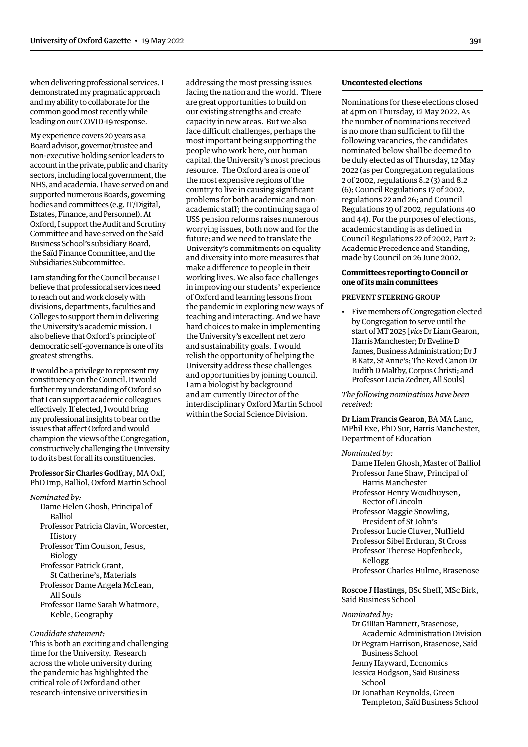<span id="page-12-0"></span>when delivering professional services. I demonstrated my pragmatic approach and my ability to collaborate for the common good most recently while leading on our COVID-19 response.

My experience covers 20 years as a Board advisor, governor/trustee and non-executive holding senior leaders to account in the private, public and charity sectors, including local government, the NHS, and academia. I have served on and supported numerous Boards, governing bodies and committees (e.g. IT/Digital, Estates, Finance, and Personnel). At Oxford, I support the Audit and Scrutiny Committee and have served on the Saïd Business School's subsidiary Board, the Saïd Finance Committee, and the Subsidiaries Subcommittee.

I am standing for the Council because I believe that professional services need to reach out and work closely with divisions, departments, faculties and Colleges to support them in delivering the University's academic mission. I also believe that Oxford's principle of democratic self-governance is one of its greatest strengths.

It would be a privilege to represent my constituency on the Council. It would further my understanding of Oxford so that I can support academic colleagues effectively. If elected, I would bring my professional insights to bear on the issues that affect Oxford and would champion the views of the Congregation, constructively challenging the University to do its best for all its constituencies.

Professor Sir Charles Godfray, MA Oxf, PhD Imp, Balliol, Oxford Martin School

- *Nominated by:*
	- Dame Helen Ghosh, Principal of Balliol
	- Professor Patricia Clavin, Worcester, **History**
	- Professor Tim Coulson, Jesus, Biology

Professor Patrick Grant,

- St Catherine's, Materials Professor Dame Angela McLean,
	- All Souls
- Professor Dame Sarah Whatmore, Keble, Geography

# *Candidate statement:*

This is both an exciting and challenging time for the University. Research across the whole university during the pandemic has highlighted the critical role of Oxford and other research-intensive universities in

addressing the most pressing issues facing the nation and the world. There are great opportunities to build on our existing strengths and create capacity in new areas. But we also face difficult challenges, perhaps the most important being supporting the people who work here, our human capital, the University's most precious resource. The Oxford area is one of the most expensive regions of the country to live in causing significant problems for both academic and nonacademic staff; the continuing saga of USS pension reforms raises numerous worrying issues, both now and for the future; and we need to translate the University's commitments on equality and diversity into more measures that make a difference to people in their working lives. We also face challenges in improving our students' experience of Oxford and learning lessons from the pandemic in exploring new ways of teaching and interacting. And we have hard choices to make in implementing the University's excellent net zero and sustainability goals. I would relish the opportunity of helping the University address these challenges and opportunities by joining Council. I am a biologist by background and am currently Director of the interdisciplinary Oxford Martin School within the Social Science Division.

# **Uncontested elections**

Nominations for these elections closed at 4pm on Thursday, 12 May 2022. As the number of nominations received is no more than sufficient to fill the following vacancies, the candidates nominated below shall be deemed to be duly elected as of Thursday, 12 May 2022 (as per Congregation regulations 2 of 2002, regulations 8.2 (3) and 8.2 (6); Council Regulations 17 of 2002, regulations 22 and 26; and Council Regulations 19 of 2002, regulations 40 and 44). For the purposes of elections, academic standing is as defined in Council Regulations 22 of 2002, Part 2: Academic Precedence and Standing, made by Council on 26 June 2002.

# **Committees reporting to Council or one of its main committees**

# PREVENT STEERING GROUP

• Five members of Congregation elected by Congregation to serve until the start of MT 2025 [*vice* Dr Liam Gearon, Harris Manchester; Dr Eveline D James, Business Administration; Dr J B Katz, St Anne's; The Revd Canon Dr Judith D Maltby, Corpus Christi; and Professor Lucia Zedner, All Souls]

*The following nominations have been received:*

Dr Liam Francis Gearon, BA MA Lanc, MPhil Exe, PhD Sur, Harris Manchester, Department of Education

*Nominated by:*

Dame Helen Ghosh, Master of Balliol Professor Jane Shaw, Principal of Harris Manchester Professor Henry Woudhuysen, Rector of Lincoln Professor Maggie Snowling, President of St John's Professor Lucie Cluver, Nuffield Professor Sibel Erduran, St Cross Professor Therese Hopfenbeck, Kellogg Professor Charles Hulme, Brasenose

# Roscoe J Hastings, BSc Sheff, MSc Birk, Saïd Business School

# *Nominated by:*

- Dr Gillian Hamnett, Brasenose, Academic Administration Division
- Dr Pegram Harrison, Brasenose, Saïd Business School
- Jenny Hayward, Economics
- Jessica Hodgson, Saïd Business School
- Dr Jonathan Reynolds, Green Templeton, Saïd Business School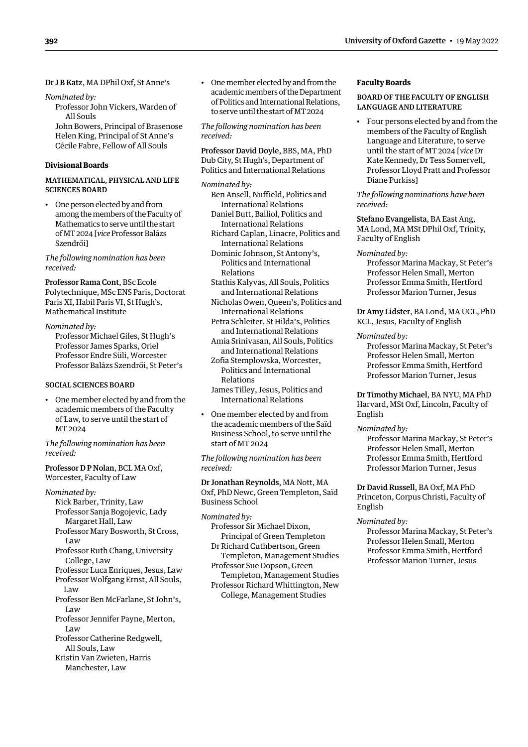<span id="page-13-0"></span>Dr J B Katz, MA DPhil Oxf, St Anne's

*Nominated by:* 

Professor John Vickers, Warden of All Souls John Bowers, Principal of Brasenose

Helen King, Principal of St Anne's Cécile Fabre, Fellow of All Souls

# **Divisional Boards**

# MATHEMATICAL, PHYSICAL AND LIFE SCIENCES BOARD

• One person elected by and from among the members of the Faculty of Mathematics to serve until the start of MT 2024 [*vice* Professor Balázs Szendrői]

*The following nomination has been received:*

Professor Rama Cont, BSc Ecole Polytechnique, MSc ENS Paris, Doctorat Paris XI, Habil Paris VI, St Hugh's, Mathematical Institute

*Nominated by:* Professor Michael Giles, St Hugh's Professor James Sparks, Oriel Professor Endre Süli, Worcester Professor Balázs Szendrői, St Peter's

# SOCIAL SCIENCES BOARD

• One member elected by and from the academic members of the Faculty of Law, to serve until the start of MT 2024

*The following nomination has been received:*

Professor D P Nolan, BCL MA Oxf, Worcester, Faculty of Law

*Nominated by:* Nick Barber, Trinity, Law

- Professor Sanja Bogojevic, Lady Margaret Hall, Law
- Professor Mary Bosworth, St Cross, Law
- Professor Ruth Chang, University College, Law
- Professor Luca Enriques, Jesus, Law Professor Wolfgang Ernst, All Souls,
	- Law
- Professor Ben McFarlane, St John's, Law
- Professor Jennifer Payne, Merton, Law
- Professor Catherine Redgwell, All Souls, Law
- Kristin Van Zwieten, Harris Manchester, Law

• One member elected by and from the academic members of the Department of Politics and International Relations, to serve until the start of MT 2024

*The following nomination has been received:*

Professor David Doyle, BBS, MA, PhD Dub City, St Hugh's, Department of Politics and International Relations

*Nominated by:* Ben Ansell, Nuffield, Politics and

- International Relations Daniel Butt, Balliol, Politics and International Relations
- Richard Caplan, Linacre, Politics and International Relations
- Dominic Johnson, St Antony's, Politics and International Relations
- Stathis Kalyvas, All Souls, Politics and International Relations
- Nicholas Owen, Queen's, Politics and International Relations
- Petra Schleiter, St Hilda's, Politics and International Relations
- Amia Srinivasan, All Souls, Politics and International Relations Zofia Stemplowska, Worcester,
- Politics and International Relations James Tilley, Jesus, Politics and
- International Relations
- One member elected by and from the academic members of the Saïd Business School, to serve until the start of MT 2024

*The following nomination has been received:*

Dr Jonathan Reynolds, MA Nott, MA Oxf, PhD Newc, Green Templeton, Saïd Business School

- *Nominated by:*
	- Professor Sir Michael Dixon, Principal of Green Templeton
	- Dr Richard Cuthbertson, Green Templeton, Management Studies
	- Professor Sue Dopson, Green Templeton, Management Studies
	- Professor Richard Whittington, New College, Management Studies

# **Faculty Boards**

# BOARD OF THE FACULTY OF ENGLISH LANGUAGE AND LITERATURE

• Four persons elected by and from the members of the Faculty of English Language and Literature, to serve until the start of MT 2024 [*vice* Dr Kate Kennedy, Dr Tess Somervell, Professor Lloyd Pratt and Professor Diane Purkiss]

*The following nominations have been received:*

Stefano Evangelista, BA East Ang, MA Lond, MA MSt DPhil Oxf, Trinity, Faculty of English

#### *Nominated by:*

Professor Marina Mackay, St Peter's Professor Helen Small, Merton Professor Emma Smith, Hertford Professor Marion Turner, Jesus

Dr Amy Lidster, BA Lond, MA UCL, PhD KCL, Jesus, Faculty of English

*Nominated by:*

Professor Marina Mackay, St Peter's Professor Helen Small, Merton Professor Emma Smith, Hertford Professor Marion Turner, Jesus

Dr Timothy Michael, BA NYU, MA PhD Harvard, MSt Oxf, Lincoln, Faculty of English

#### *Nominated by:*

Professor Marina Mackay, St Peter's Professor Helen Small, Merton Professor Emma Smith, Hertford Professor Marion Turner, Jesus

Dr David Russell, BA Oxf, MA PhD Princeton, Corpus Christi, Faculty of English

# *Nominated by:*

Professor Marina Mackay, St Peter's Professor Helen Small, Merton Professor Emma Smith, Hertford Professor Marion Turner, Jesus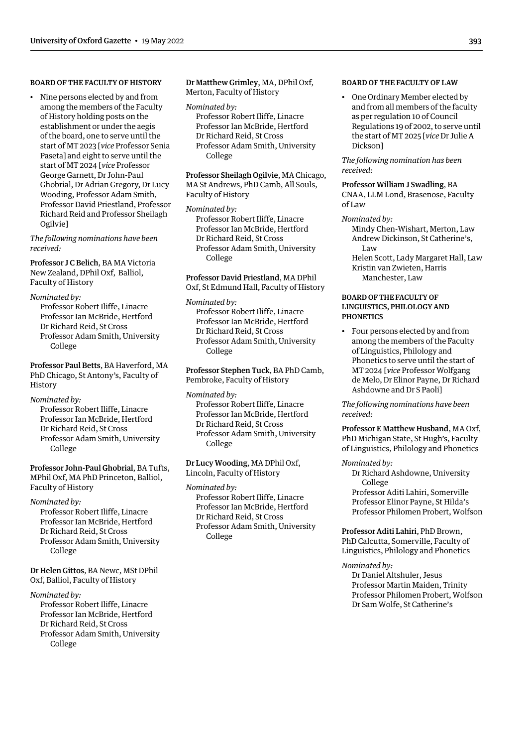# <span id="page-14-0"></span>BOARD OF THE FACULTY OF HISTORY

• Nine persons elected by and from among the members of the Faculty of History holding posts on the establishment or under the aegis of the board, one to serve until the start of MT 2023 [*vice* Professor Senia Paseta] and eight to serve until the start of MT 2024 [*vice* Professor George Garnett, Dr John-Paul Ghobrial, Dr Adrian Gregory, Dr Lucy Wooding, Professor Adam Smith, Professor David Priestland, Professor Richard Reid and Professor Sheilagh Ogilvie]

*The following nominations have been received:*

Professor J C Belich, BA MA Victoria New Zealand, DPhil Oxf, Balliol, Faculty of History

#### *Nominated by:*

Professor Robert Iliffe, Linacre Professor Ian McBride, Hertford Dr Richard Reid, St Cross Professor Adam Smith, University College

Professor Paul Betts, BA Haverford, MA PhD Chicago, St Antony's, Faculty of History

*Nominated by:*

Professor Robert Iliffe, Linacre Professor Ian McBride, Hertford Dr Richard Reid, St Cross Professor Adam Smith, University College

Professor John-Paul Ghobrial, BA Tufts, MPhil Oxf, MA PhD Princeton, Balliol, Faculty of History

*Nominated by:*

Professor Robert Iliffe, Linacre Professor Ian McBride, Hertford Dr Richard Reid, St Cross Professor Adam Smith, University College

Dr Helen Gittos, BA Newc, MSt DPhil Oxf, Balliol, Faculty of History

*Nominated by:*

Professor Robert Iliffe, Linacre Professor Ian McBride, Hertford Dr Richard Reid, St Cross Professor Adam Smith, University College

Dr Matthew Grimley, MA, DPhil Oxf, Merton, Faculty of History

#### *Nominated by:*

Professor Robert Iliffe, Linacre Professor Ian McBride, Hertford Dr Richard Reid, St Cross Professor Adam Smith, University College

Professor Sheilagh Ogilvie, MA Chicago, MA St Andrews, PhD Camb, All Souls, Faculty of History

*Nominated by:* Professor Robert Iliffe, Linacre Professor Ian McBride, Hertford Dr Richard Reid, St Cross Professor Adam Smith, University

College

# Professor David Priestland, MA DPhil Oxf, St Edmund Hall, Faculty of History

*Nominated by:*

Professor Robert Iliffe, Linacre Professor Ian McBride, Hertford Dr Richard Reid, St Cross Professor Adam Smith, University College

Professor Stephen Tuck, BA PhD Camb, Pembroke, Faculty of History

*Nominated by:* Professor Robert Iliffe, Linacre Professor Ian McBride, Hertford Dr Richard Reid, St Cross Professor Adam Smith, University College

Dr Lucy Wooding, MA DPhil Oxf, Lincoln, Faculty of History

*Nominated by:* Professor Robert Iliffe, Linacre Professor Ian McBride, Hertford Dr Richard Reid, St Cross Professor Adam Smith, University College

# BOARD OF THE FACULTY OF LAW

• One Ordinary Member elected by and from all members of the faculty as per regulation 10 of Council Regulations 19 of 2002, to serve until the start of MT 2025 [*vice* Dr Julie A Dickson]

*The following nomination has been received:*

Professor William J Swadling, BA CNAA, LLM Lond, Brasenose, Faculty of Law

# *Nominated by:*

Mindy Chen-Wishart, Merton, Law Andrew Dickinson, St Catherine's, Law Helen Scott, Lady Margaret Hall, Law

Kristin van Zwieten, Harris Manchester, Law

# BOARD OF THE FACULTY OF LINGUISTICS, PHILOLOGY AND PHONETICS

• Four persons elected by and from among the members of the Faculty of Linguistics, Philology and Phonetics to serve until the start of MT 2024 [*vice* Professor Wolfgang de Melo, Dr Elinor Payne, Dr Richard Ashdowne and Dr S Paoli]

*The following nominations have been received:*

Professor E Matthew Husband, MA Oxf, PhD Michigan State, St Hugh's, Faculty of Linguistics, Philology and Phonetics

*Nominated by:*

Dr Richard Ashdowne, University College

Professor Aditi Lahiri, Somerville Professor Elinor Payne, St Hilda's Professor Philomen Probert, Wolfson

Professor Aditi Lahiri, PhD Brown, PhD Calcutta, Somerville, Faculty of Linguistics, Philology and Phonetics

*Nominated by:*

Dr Daniel Altshuler, Jesus Professor Martin Maiden, Trinity Professor Philomen Probert, Wolfson Dr Sam Wolfe, St Catherine's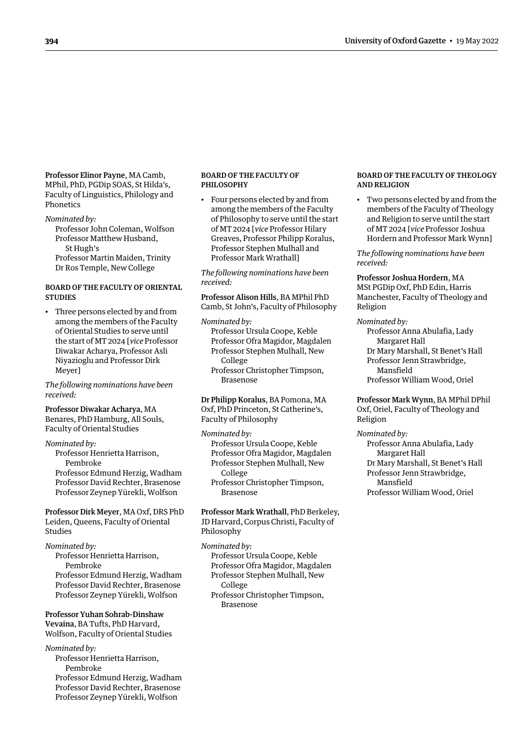<span id="page-15-0"></span>Professor Elinor Payne, MA Camb, MPhil, PhD, PGDip SOAS, St Hilda's, Faculty of Linguistics, Philology and Phonetics

*Nominated by:* Professor John Coleman, Wolfson Professor Matthew Husband, St Hugh's

Professor Martin Maiden, Trinity Dr Ros Temple, New College

# BOARD OF THE FACULTY OF ORIENTAL **STUDIES**

• Three persons elected by and from among the members of the Faculty of Oriental Studies to serve until the start of MT 2024 [*vice* Professor Diwakar Acharya, Professor Asli Niyazioglu and Professor Dirk Meyer]

*The following nominations have been received:*

# Professor Diwakar Acharya, MA Benares, PhD Hamburg, All Souls, Faculty of Oriental Studies

*Nominated by:*

Professor Henrietta Harrison, Pembroke Professor Edmund Herzig, Wadham Professor David Rechter, Brasenose Professor Zeynep Yürekli, Wolfson

Professor Dirk Meyer, MA Oxf, DRS PhD Leiden, Queens, Faculty of Oriental Studies

## *Nominated by:*

Professor Henrietta Harrison, Pembroke Professor Edmund Herzig, Wadham Professor David Rechter, Brasenose Professor Zeynep Yürekli, Wolfson

Professor Yuhan Sohrab-Dinshaw Vevaina, BA Tufts, PhD Harvard, Wolfson, Faculty of Oriental Studies

*Nominated by:* Professor Henrietta Harrison, Pembroke Professor Edmund Herzig, Wadham Professor David Rechter, Brasenose Professor Zeynep Yürekli, Wolfson

#### BOARD OF THE FACULTY OF PHILOSOPHY

• Four persons elected by and from among the members of the Faculty of Philosophy to serve until the start of MT 2024 [*vice* Professor Hilary Greaves, Professor Philipp Koralus, Professor Stephen Mulhall and Professor Mark Wrathall]

*The following nominations have been received:*

Professor Alison Hills, BA MPhil PhD Camb, St John's, Faculty of Philosophy

*Nominated by:* Professor Ursula Coope, Keble

Professor Ofra Magidor, Magdalen Professor Stephen Mulhall, New College Professor Christopher Timpson, Brasenose

Dr Philipp Koralus, BA Pomona, MA Oxf, PhD Princeton, St Catherine's, Faculty of Philosophy

*Nominated by:*

Professor Ursula Coope, Keble Professor Ofra Magidor, Magdalen Professor Stephen Mulhall, New College Professor Christopher Timpson, Brasenose

Professor Mark Wrathall, PhD Berkeley, JD Harvard, Corpus Christi, Faculty of Philosophy

- *Nominated by:*
	- Professor Ursula Coope, Keble Professor Ofra Magidor, Magdalen
	- Professor Stephen Mulhall, New
		- College
	- Professor Christopher Timpson, Brasenose

#### BOARD OF THE FACULTY OF THEOLOGY AND RELIGION

• Two persons elected by and from the members of the Faculty of Theology and Religion to serve until the start of MT 2024 [*vice* Professor Joshua Hordern and Professor Mark Wynn]

*The following nominations have been received:*

Professor Joshua Hordern, MA MSt PGDip Oxf, PhD Edin, Harris Manchester, Faculty of Theology and Religion

# *Nominated by:*

Professor Anna Abulafia, Lady Margaret Hall Dr Mary Marshall, St Benet's Hall Professor Jenn Strawbridge, Mansfield Professor William Wood, Oriel

Professor Mark Wynn, BA MPhil DPhil

Oxf, Oriel, Faculty of Theology and Religion

## *Nominated by:*

Professor Anna Abulafia, Lady Margaret Hall Dr Mary Marshall, St Benet's Hall Professor Jenn Strawbridge, Mansfield Professor William Wood, Oriel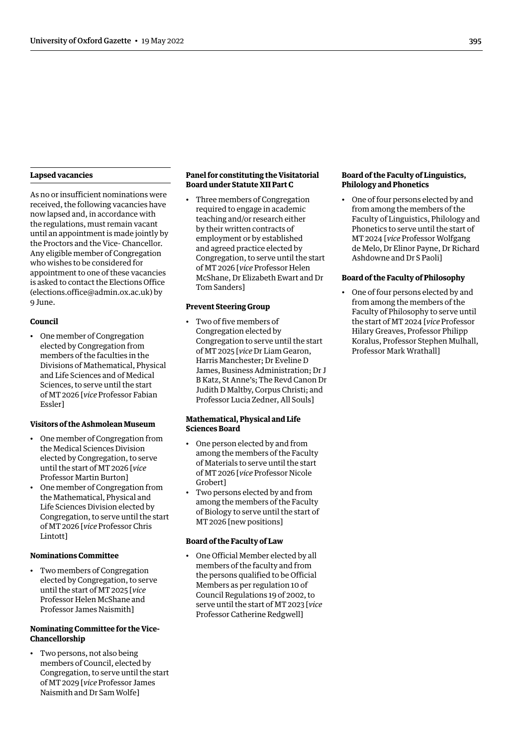# <span id="page-16-0"></span>**Lapsed vacancies**

As no or insufficient nominations were received, the following vacancies have now lapsed and, in accordance with the regulations, must remain vacant until an appointment is made jointly by the Proctors and the Vice- Chancellor. Any eligible member of Congregation who wishes to be considered for appointment to one of these vacancies is asked to contact the Elections Office (elections.office@admin.ox.ac.uk) by 9 June.

# **Council**

• One member of Congregation elected by Congregation from members of the faculties in the Divisions of Mathematical, Physical and Life Sciences and of Medical Sciences, to serve until the start of MT 2026 [*vice* Professor Fabian Essler]

# **Visitors of the Ashmolean Museum**

- One member of Congregation from the Medical Sciences Division elected by Congregation, to serve until the start of MT 2026 [*vice* Professor Martin Burton]
- One member of Congregation from the Mathematical, Physical and Life Sciences Division elected by Congregation, to serve until the start of MT 2026 [*vice* Professor Chris Lintott]

# **Nominations Committee**

• Two members of Congregation elected by Congregation, to serve until the start of MT 2025 [*vice* Professor Helen McShane and Professor James Naismith]

# **Nominating Committee for the Vice-Chancellorship**

• Two persons, not also being members of Council, elected by Congregation, to serve until the start of MT 2029 [*vice* Professor James Naismith and Dr Sam Wolfe]

# **Panel for constituting the Visitatorial Board under Statute XII Part C**

• Three members of Congregation required to engage in academic teaching and/or research either by their written contracts of employment or by established and agreed practice elected by Congregation, to serve until the start of MT 2026 [*vice* Professor Helen McShane, Dr Elizabeth Ewart and Dr Tom Sanders]

# **Prevent Steering Group**

• Two of five members of Congregation elected by Congregation to serve until the start of MT 2025 [*vice* Dr Liam Gearon, Harris Manchester; Dr Eveline D James, Business Administration; Dr J B Katz, St Anne's; The Revd Canon Dr Judith D Maltby, Corpus Christi; and Professor Lucia Zedner, All Souls]

# **Mathematical, Physical and Life Sciences Board**

- One person elected by and from among the members of the Faculty of Materials to serve until the start of MT 2026 [*vice* Professor Nicole Grobert]
- Two persons elected by and from among the members of the Faculty of Biology to serve until the start of MT 2026 [new positions]

# **Board of the Faculty of Law**

• One Official Member elected by all members of the faculty and from the persons qualified to be Official Members as per regulation 10 of Council Regulations 19 of 2002, to serve until the start of MT 2023 [*vice* Professor Catherine Redgwell]

# **Board of the Faculty of Linguistics, Philology and Phonetics**

• One of four persons elected by and from among the members of the Faculty of Linguistics, Philology and Phonetics to serve until the start of MT 2024 [*vice* Professor Wolfgang de Melo, Dr Elinor Payne, Dr Richard Ashdowne and Dr S Paoli]

# **Board of the Faculty of Philosophy**

• One of four persons elected by and from among the members of the Faculty of Philosophy to serve until the start of MT 2024 [*vice* Professor Hilary Greaves, Professor Philipp Koralus, Professor Stephen Mulhall, Professor Mark Wrathall]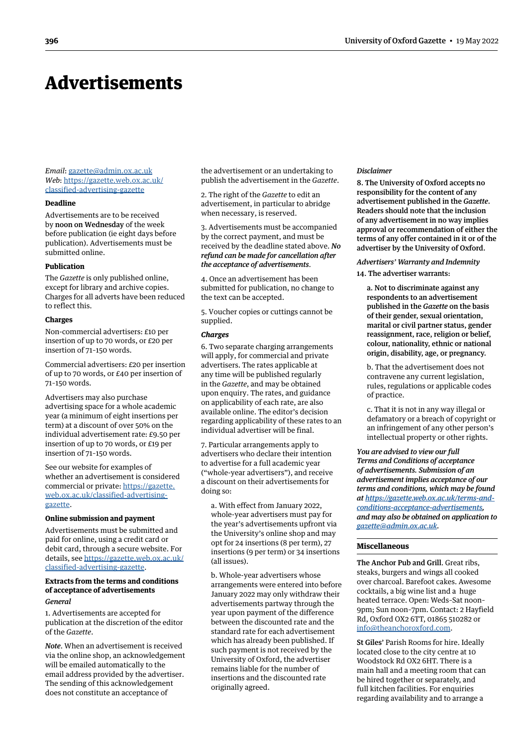# <span id="page-17-0"></span>Advertisements

*Email*: [gazette@admin.ox.ac.uk](mailto:gazette@admin.ox.ac.uk) *Web*: https:/[/gazette.web.ox.ac.uk/](https://gazette.web.ox.ac.uk/classified-advertising-gazette) [classified-advertising](https://gazette.web.ox.ac.uk/classified-advertising-gazette)-gazette

#### **Deadline**

Advertisements are to be received by noon on Wednesday of the week before publication (ie eight days before publication). Advertisements must be submitted online.

# **Publication**

The *Gazette* is only published online, except for library and archive copies. Charges for all adverts have been reduced to reflect this.

#### **Charges**

Non-commercial advertisers: £10 per insertion of up to 70 words, or £20 per insertion of 71–150 words.

Commercial advertisers: £20 per insertion of up to 70 words, or £40 per insertion of 71–150 words.

Advertisers may also purchase advertising space for a whole academic year (a minimum of eight insertions per term) at a discount of over 50% on the individual advertisement rate: £9.50 per insertion of up to 70 words, or £19 per insertion of 71–150 words.

See our website for examples of whether an advertisement is considered commercial or private: https:/[/gazette.](https://gazette.web.ox.ac.uk/classified-advertising-gazette) [web.ox.ac.uk/classified-advertising](https://gazette.web.ox.ac.uk/classified-advertising-gazette)gazette.

# **Online submission and payment**

Advertisements must be submitted and paid for online, using a credit card or debit card, through a secure website. For details, see https:/[/gazette.web.ox.ac.uk/](https://gazette.web.ox.ac.uk/classified-advertising-gazette) [classified-advertising](https://gazette.web.ox.ac.uk/classified-advertising-gazette)-gazette.

#### **Extracts from the terms and conditions of acceptance of advertisements** *General*

1. Advertisements are accepted for publication at the discretion of the editor of the *Gazette*.

*Note*. When an advertisement is received via the online shop, an acknowledgement will be emailed automatically to the email address provided by the advertiser. The sending of this acknowledgement does not constitute an acceptance of

the advertisement or an undertaking to publish the advertisement in the *Gazette*.

2. The right of the *Gazette* to edit an advertisement, in particular to abridge when necessary, is reserved.

3. Advertisements must be accompanied by the correct payment, and must be received by the deadline stated above. *No refund can be made for cancellation after the acceptance of advertisements*.

4. Once an advertisement has been submitted for publication, no change to the text can be accepted.

5. Voucher copies or cuttings cannot be supplied.

## *Charges*

6. Two separate charging arrangements will apply, for commercial and private advertisers. The rates applicable at any time will be published regularly in the *Gazette*, and may be obtained upon enquiry. The rates, and guidance on applicability of each rate, are also available online. The editor's decision regarding applicability of these rates to an individual advertiser will be final.

7. Particular arrangements apply to advertisers who declare their intention to advertise for a full academic year ("whole-year advertisers"), and receive a discount on their advertisements for doing so:

a. With effect from January 2022, whole-year advertisers must pay for the year's advertisements upfront via the University's online shop and may opt for 24 insertions (8 per term), 27 insertions (9 per term) or 34 insertions (all issues).

b. Whole-year advertisers whose arrangements were entered into before January 2022 may only withdraw their advertisements partway through the year upon payment of the difference between the discounted rate and the standard rate for each advertisement which has already been published. If such payment is not received by the University of Oxford, the advertiser remains liable for the number of insertions and the discounted rate originally agreed.

#### *Disclaimer*

8. The University of Oxford accepts no responsibility for the content of any advertisement published in the *Gazette*. Readers should note that the inclusion of any advertisement in no way implies approval or recommendation of either the terms of any offer contained in it or of the advertiser by the University of Oxford.

#### *Advertisers' Warranty and Indemnity*

14. The advertiser warrants:

a. Not to discriminate against any respondents to an advertisement published in the *Gazette* on the basis of their gender, sexual orientation, marital or civil partner status, gender reassignment, race, religion or belief, colour, nationality, ethnic or national origin, disability, age, or pregnancy.

b. That the advertisement does not contravene any current legislation, rules, regulations or applicable codes of practice.

c. That it is not in any way illegal or defamatory or a breach of copyright or an infringement of any other person's intellectual property or other rights.

*You are advised to view our full Terms and Conditions of acceptance of advertisements. Submission of an advertisement implies acceptance of our terms and conditions, which may be found at [https://gazette.web.ox.ac.uk/terms-and](https://gazette.web.ox.ac.uk/terms-and-conditions-acceptance-advertisements)[conditions-acceptance-advertisements,](https://gazette.web.ox.ac.uk/terms-and-conditions-acceptance-advertisements) and may also be obtained on application to [gazette@admin.ox.ac.uk.](mailto:gazette@admin.ox.ac.uk)*

## **Miscellaneous**

The Anchor Pub and Grill. Great ribs, steaks, burgers and wings all cooked over charcoal. Barefoot cakes. Awesome cocktails, a big wine list and a huge heated terrace. Open: Weds–Sat noon– 9pm; Sun noon–7pm. Contact: 2 Hayfield Rd, Oxford OX2 6TT, 01865 510282 or [info@theanchoroxford.com.](mailto:info@theanchoroxford.com)

St Giles' Parish Rooms for hire. Ideally located close to the city centre at 10 Woodstock Rd OX2 6HT. There is a main hall and a meeting room that can be hired together or separately, and full kitchen facilities. For enquiries regarding availability and to arrange a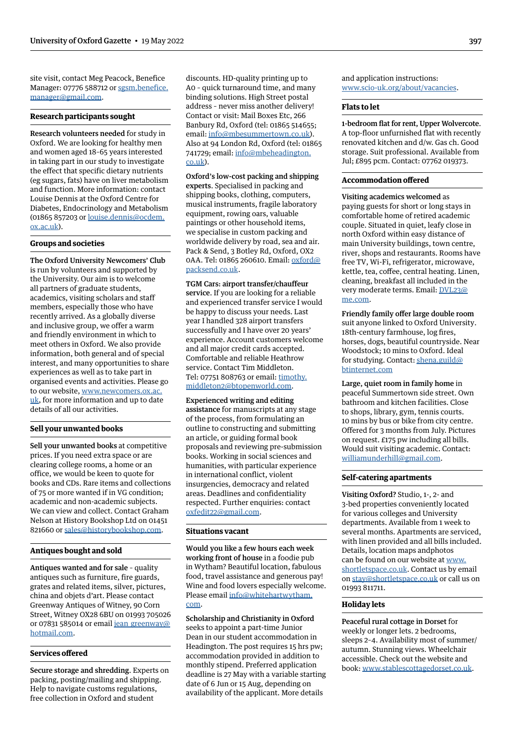site visit, contact Meg Peacock, Benefice Manager: 07776 588712 or [sgsm.benefice.](mailto:sgsm.benefice.manager@gmail.com) [manager@gmail.com.](mailto:sgsm.benefice.manager@gmail.com)

# **Research participants sought**

Research volunteers needed for study in Oxford. We are looking for healthy men and women aged 18–65 years interested in taking part in our study to investigate the effect that specific dietary nutrients (eg sugars, fats) have on liver metabolism and function. More information: contact Louise Dennis at the Oxford Centre for Diabetes, Endocrinology and Metabolism (01865 857203 or [louise.dennis@ocdem.](mailto:louise.dennis@ocdem.ox.ac.uk) [ox.ac.uk\)](mailto:louise.dennis@ocdem.ox.ac.uk).

#### **Groups and societies**

The Oxford University Newcomers' Club is run by volunteers and supported by the University. Our aim is to welcome all partners of graduate students, academics, visiting scholars and staff members, especially those who have recently arrived. As a globally diverse and inclusive group, we offer a warm and friendly environment in which to meet others in Oxford. We also provide information, both general and of special interest, and many opportunities to share experiences as well as to take part in organised events and activities. Please go to our website, [www.newcomers.ox.ac.](http://www.newcomers.ox.ac.uk) [uk,](http://www.newcomers.ox.ac.uk) for more information and up to date details of all our activities.

#### **Sell your unwanted books**

Sell your unwanted books at competitive prices. If you need extra space or are clearing college rooms, a home or an office, we would be keen to quote for books and CDs. Rare items and collections of 75 or more wanted if in VG condition; academic and non-academic subjects. We can view and collect. Contact Graham Nelson at History Bookshop Ltd on 01451 821660 or [sales@historybookshop.com.](mailto:sales@historybookshop.com)

# **Antiques bought and sold**

Antiques wanted and for sale – quality antiques such as furniture, fire guards, grates and related items, silver, pictures, china and objets d'art. Please contact Greenway Antiques of Witney, 90 Corn Street, Witney OX28 6BU on 01993 705026 or 07831 585014 or email [jean\\_greenway@](mailto:jean_greenway@hotmail.com) [hotmail.com](mailto:jean_greenway@hotmail.com).

# **Services offered**

Secure storage and shredding. Experts on packing, posting/mailing and shipping. Help to navigate customs regulations, free collection in Oxford and student

discounts. HD-quality printing up to A0 – quick turnaround time, and many binding solutions. High Street postal address – never miss another delivery! Contact or visit: Mail Boxes Etc, 266 Banbury Rd, Oxford (tel: 01865 514655; email: [info@mbesummertown.co.uk\)](mailto:info@mbesummertown.co.uk). Also at 94 London Rd, Oxford (tel: 01865 741729; email: [info@mbeheadington.](mailto:info@mbeheadington.co.uk) [co.uk\)](mailto:info@mbeheadington.co.uk).

## Oxford's low-cost packing and shipping

experts. Specialised in packing and shipping books, clothing, computers, musical instruments, fragile laboratory equipment, rowing oars, valuable paintings or other household items, we specialise in custom packing and worldwide delivery by road, sea and air. Pack & Send, 3 Botley Rd, Oxford, OX2 0AA. Tel: 01865 260610. Email: [oxford@](mailto:oxford@packsend.co.uk) [packsend.co.uk.](mailto:oxford@packsend.co.uk)

TGM Cars: airport transfer/chauffeur service. If you are looking for a reliable and experienced transfer service I would be happy to discuss your needs. Last year I handled 328 airport transfers successfully and I have over 20 years' experience. Account customers welcome and all major credit cards accepted. Comfortable and reliable Heathrow service. Contact Tim Middleton. Tel: 07751 808763 or email: [timothy.](mailto:timothy.middleton2@btopenworld.com) [middleton2@btopenworld.com.](mailto:timothy.middleton2@btopenworld.com)

Experienced writing and editing assistance for manuscripts at any stage of the process, from formulating an outline to constructing and submitting an article, or guiding formal book proposals and reviewing pre-submission books. Working in social sciences and humanities, with particular experience in international conflict, violent insurgencies, democracy and related areas. Deadlines and confidentiality respected. Further enquiries: contact [oxfedit22@gmail.com.](mailto:oxfedit22@gmail.com)

## **Situations vacant**

Would you like a few hours each week working front of house in a foodie pub in Wytham? Beautiful location, fabulous food, travel assistance and generous pay! Wine and food lovers especially welcome. Please email [info@whitehartwytham.](mailto:info@whitehartwytham.com) [com](mailto:info@whitehartwytham.com).

Scholarship and Christianity in Oxford seeks to appoint a part-time Junior Dean in our student accommodation in Headington. The post requires 15 hrs pw; accommodation provided in addition to monthly stipend. Preferred application deadline is 27 May with a variable starting date of 6 Jun or 15 Aug, depending on availability of the applicant. More details

and application instructions: [www.scio-uk.org/about/vacancies.](https://www.scio-uk.org/about/vacancies/)

#### **Flats to let**

1-bedroom flat for rent, Upper Wolvercote. A top-floor unfurnished flat with recently renovated kitchen and d/w. Gas ch. Good storage. Suit professional. Available from Jul; £895 pcm. Contact: 07762 019373.

#### **Accommodation offered**

#### Visiting academics welcomed as

paying guests for short or long stays in comfortable home of retired academic couple. Situated in quiet, leafy close in north Oxford within easy distance of main University buildings, town centre, river, shops and restaurants. Rooms have free TV, Wi-Fi, refrigerator, microwave, kettle, tea, coffee, central heating. Linen, cleaning, breakfast all included in the very moderate terms. Email: [DVL23@](mailto:DVL23@me.com) [me.com](mailto:DVL23@me.com).

Friendly family offer large double room suit anyone linked to Oxford University. 18th-century farmhouse, log fires, horses, dogs, beautiful countryside. Near Woodstock; 10 mins to Oxford. Ideal for studying. Contact: [shena.guild@](mailto:shena.guild@btinternet.com) [btinternet.com](mailto:shena.guild@btinternet.com)

Large, quiet room in family home in peaceful Summertown side street. Own bathroom and kitchen facilities. Close to shops, library, gym, tennis courts. 10 mins by bus or bike from city centre. Offered for 3 months from July. Pictures on request. £175 pw including all bills. Would suit visiting academic. Contact: [williamunderhill@gmail.com.](mailto:williamunderhill@gmail.com)

#### **Self-catering apartments**

Visiting Oxford? Studio, 1-, 2- and 3-bed properties conveniently located for various colleges and University departments. Available from 1 week to several months. Apartments are serviced, with linen provided and all bills included. Details, location maps andphotos can be found on our website at [www.](http://www.shortletspace.co.uk) [shortletspace.co.uk](http://www.shortletspace.co.uk). Contact us by email on [stay@shortletspace.co.uk](mailto:stay@shortletspace.co.uk) or call us on 01993 811711.

#### **Holiday lets**

Peaceful rural cottage in Dorset for weekly or longer lets. 2 bedrooms, sleeps 2–4. Availability most of summer/ autumn. Stunning views. Wheelchair accessible. Check out the website and book: [www.stablescottagedorset.co.uk](http://www.stablescottagedorset.co.uk).